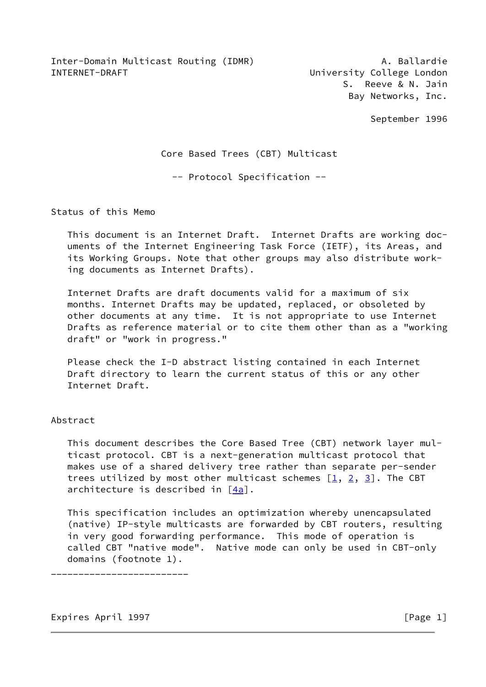Inter-Domain Multicast Routing (IDMR) A. Ballardie INTERNET-DRAFT **EXECUTE:** University College London

 S. Reeve & N. Jain Bay Networks, Inc.

September 1996

Core Based Trees (CBT) Multicast

-- Protocol Specification --

Status of this Memo

 This document is an Internet Draft. Internet Drafts are working doc uments of the Internet Engineering Task Force (IETF), its Areas, and its Working Groups. Note that other groups may also distribute work ing documents as Internet Drafts).

 Internet Drafts are draft documents valid for a maximum of six months. Internet Drafts may be updated, replaced, or obsoleted by other documents at any time. It is not appropriate to use Internet Drafts as reference material or to cite them other than as a "working draft" or "work in progress."

 Please check the I-D abstract listing contained in each Internet Draft directory to learn the current status of this or any other Internet Draft.

# Abstract

 This document describes the Core Based Tree (CBT) network layer mul ticast protocol. CBT is a next-generation multicast protocol that makes use of a shared delivery tree rather than separate per-sender trees utilized by most other multicast schemes  $[1, 2, 3]$  $[1, 2, 3]$  $[1, 2, 3]$  $[1, 2, 3]$ . The CBT architecture is described in [\[4a\]](#page-45-3).

 This specification includes an optimization whereby unencapsulated (native) IP-style multicasts are forwarded by CBT routers, resulting in very good forwarding performance. This mode of operation is called CBT "native mode". Native mode can only be used in CBT-only domains (footnote 1).

\_\_\_\_\_\_\_\_\_\_\_\_\_\_\_\_\_\_\_\_\_\_\_\_\_

Expires April 1997 **Expires** April 1997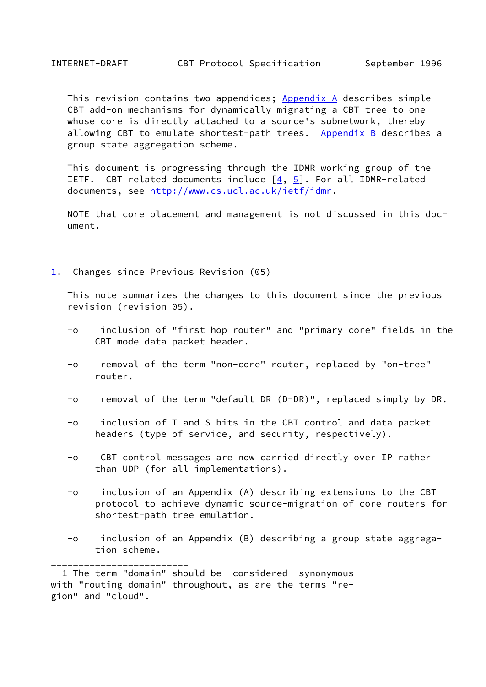This revision contains two appendices; Appendix A describes simple CBT add-on mechanisms for dynamically migrating a CBT tree to one whose core is directly attached to a source's subnetwork, thereby allowing CBT to emulate shortest-path trees. Appendix B describes a group state aggregation scheme.

 This document is progressing through the IDMR working group of the IETF. CBT related documents include  $[4, 5]$  $[4, 5]$  $[4, 5]$ . For all IDMR-related documents, see [http://www.cs.ucl.ac.uk/ietf/idmr.](http://www.cs.ucl.ac.uk/ietf/idmr)

 NOTE that core placement and management is not discussed in this doc ument.

<span id="page-1-0"></span>[1](#page-1-0). Changes since Previous Revision (05)

 This note summarizes the changes to this document since the previous revision (revision 05).

- +o inclusion of "first hop router" and "primary core" fields in the CBT mode data packet header.
- +o removal of the term "non-core" router, replaced by "on-tree" router.
- +o removal of the term "default DR (D-DR)", replaced simply by DR.
- +o inclusion of T and S bits in the CBT control and data packet headers (type of service, and security, respectively).
- +o CBT control messages are now carried directly over IP rather than UDP (for all implementations).
- +o inclusion of an Appendix (A) describing extensions to the CBT protocol to achieve dynamic source-migration of core routers for shortest-path tree emulation.
- +o inclusion of an Appendix (B) describing a group state aggrega tion scheme.

\_\_\_\_\_\_\_\_\_\_\_\_\_\_\_\_\_\_\_\_\_\_\_\_\_

 <sup>1</sup> The term "domain" should be considered synonymous with "routing domain" throughout, as are the terms "region" and "cloud".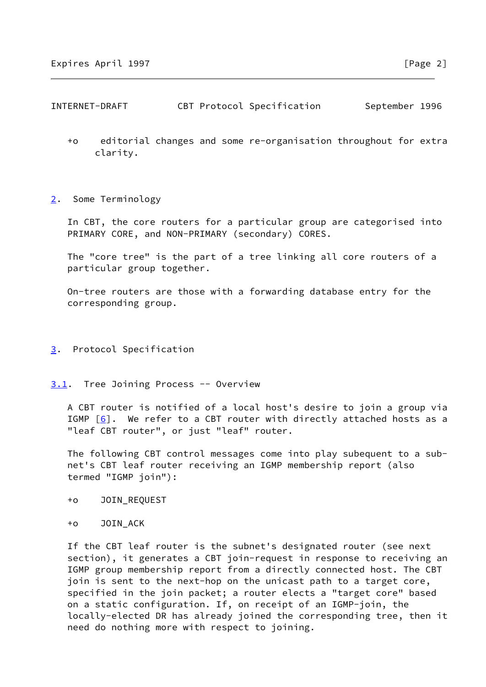- +o editorial changes and some re-organisation throughout for extra clarity.
- <span id="page-2-0"></span>[2](#page-2-0). Some Terminology

 In CBT, the core routers for a particular group are categorised into PRIMARY CORE, and NON-PRIMARY (secondary) CORES.

 The "core tree" is the part of a tree linking all core routers of a particular group together.

 On-tree routers are those with a forwarding database entry for the corresponding group.

- <span id="page-2-1"></span>[3](#page-2-1). Protocol Specification
- <span id="page-2-2"></span>[3.1](#page-2-2). Tree Joining Process -- Overview

 A CBT router is notified of a local host's desire to join a group via IGMP  $[6]$ . We refer to a CBT router with directly attached hosts as a "leaf CBT router", or just "leaf" router.

 The following CBT control messages come into play subequent to a sub net's CBT leaf router receiving an IGMP membership report (also termed "IGMP join"):

- +o JOIN\_REQUEST
- +o JOIN\_ACK

 If the CBT leaf router is the subnet's designated router (see next section), it generates a CBT join-request in response to receiving an IGMP group membership report from a directly connected host. The CBT join is sent to the next-hop on the unicast path to a target core, specified in the join packet; a router elects a "target core" based on a static configuration. If, on receipt of an IGMP-join, the locally-elected DR has already joined the corresponding tree, then it need do nothing more with respect to joining.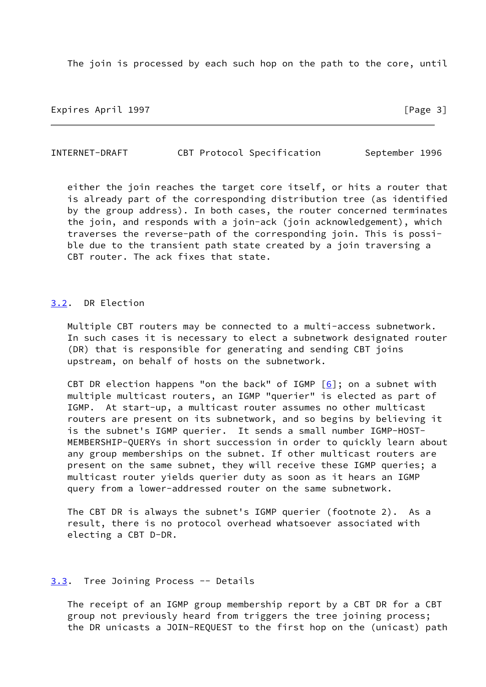The join is processed by each such hop on the path to the core, until

Expires April 1997 **Expires** April 1997

INTERNET-DRAFT CBT Protocol Specification September 1996

 either the join reaches the target core itself, or hits a router that is already part of the corresponding distribution tree (as identified by the group address). In both cases, the router concerned terminates the join, and responds with a join-ack (join acknowledgement), which traverses the reverse-path of the corresponding join. This is possi ble due to the transient path state created by a join traversing a CBT router. The ack fixes that state.

# <span id="page-3-0"></span>[3.2](#page-3-0). DR Election

 Multiple CBT routers may be connected to a multi-access subnetwork. In such cases it is necessary to elect a subnetwork designated router (DR) that is responsible for generating and sending CBT joins upstream, on behalf of hosts on the subnetwork.

CBT DR election happens "on the back" of IGMP  $[6]$  $[6]$ ; on a subnet with multiple multicast routers, an IGMP "querier" is elected as part of IGMP. At start-up, a multicast router assumes no other multicast routers are present on its subnetwork, and so begins by believing it is the subnet's IGMP querier. It sends a small number IGMP-HOST- MEMBERSHIP-QUERYs in short succession in order to quickly learn about any group memberships on the subnet. If other multicast routers are present on the same subnet, they will receive these IGMP queries; a multicast router yields querier duty as soon as it hears an IGMP query from a lower-addressed router on the same subnetwork.

 The CBT DR is always the subnet's IGMP querier (footnote 2). As a result, there is no protocol overhead whatsoever associated with electing a CBT D-DR.

## <span id="page-3-1"></span>[3.3](#page-3-1). Tree Joining Process -- Details

 The receipt of an IGMP group membership report by a CBT DR for a CBT group not previously heard from triggers the tree joining process; the DR unicasts a JOIN-REQUEST to the first hop on the (unicast) path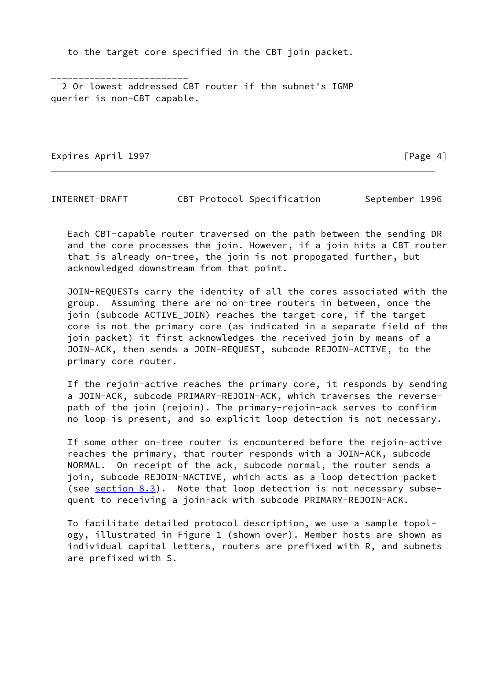to the target core specified in the CBT join packet.

 2 Or lowest addressed CBT router if the subnet's IGMP querier is non-CBT capable.

Expires April 1997 **Expires** April 1997

\_\_\_\_\_\_\_\_\_\_\_\_\_\_\_\_\_\_\_\_\_\_\_\_\_

INTERNET-DRAFT CBT Protocol Specification September 1996

 Each CBT-capable router traversed on the path between the sending DR and the core processes the join. However, if a join hits a CBT router that is already on-tree, the join is not propogated further, but acknowledged downstream from that point.

 JOIN-REQUESTs carry the identity of all the cores associated with the group. Assuming there are no on-tree routers in between, once the join (subcode ACTIVE\_JOIN) reaches the target core, if the target core is not the primary core (as indicated in a separate field of the join packet) it first acknowledges the received join by means of a JOIN-ACK, then sends a JOIN-REQUEST, subcode REJOIN-ACTIVE, to the primary core router.

 If the rejoin-active reaches the primary core, it responds by sending a JOIN-ACK, subcode PRIMARY-REJOIN-ACK, which traverses the reverse path of the join (rejoin). The primary-rejoin-ack serves to confirm no loop is present, and so explicit loop detection is not necessary.

 If some other on-tree router is encountered before the rejoin-active reaches the primary, that router responds with a JOIN-ACK, subcode NORMAL. On receipt of the ack, subcode normal, the router sends a join, subcode REJOIN-NACTIVE, which acts as a loop detection packet (see section  $8.3$ ). Note that loop detection is not necessary subsequent to receiving a join-ack with subcode PRIMARY-REJOIN-ACK.

 To facilitate detailed protocol description, we use a sample topol ogy, illustrated in Figure 1 (shown over). Member hosts are shown as individual capital letters, routers are prefixed with R, and subnets are prefixed with S.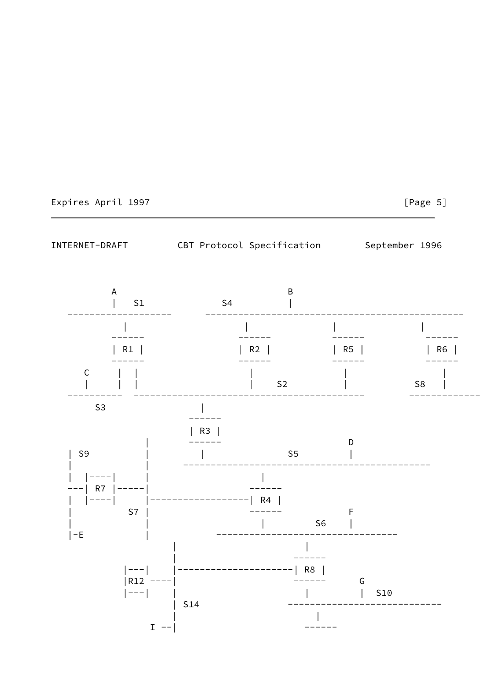

[Page 5]

INTERNET-DRAFT CBT Protocol Specification September 1996

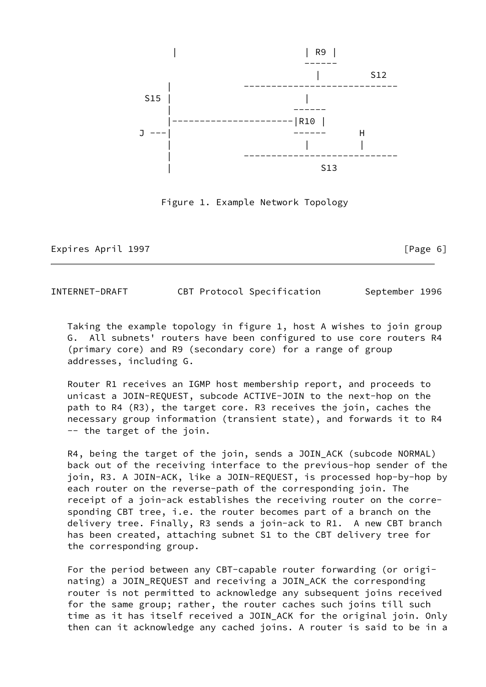

Figure 1. Example Network Topology

Expires April 1997 **Expires** April 1997

INTERNET-DRAFT CBT Protocol Specification September 1996

 Taking the example topology in figure 1, host A wishes to join group G. All subnets' routers have been configured to use core routers R4 (primary core) and R9 (secondary core) for a range of group addresses, including G.

 Router R1 receives an IGMP host membership report, and proceeds to unicast a JOIN-REQUEST, subcode ACTIVE-JOIN to the next-hop on the path to R4 (R3), the target core. R3 receives the join, caches the necessary group information (transient state), and forwards it to R4 -- the target of the join.

 R4, being the target of the join, sends a JOIN\_ACK (subcode NORMAL) back out of the receiving interface to the previous-hop sender of the join, R3. A JOIN-ACK, like a JOIN-REQUEST, is processed hop-by-hop by each router on the reverse-path of the corresponding join. The receipt of a join-ack establishes the receiving router on the corre sponding CBT tree, i.e. the router becomes part of a branch on the delivery tree. Finally, R3 sends a join-ack to R1. A new CBT branch has been created, attaching subnet S1 to the CBT delivery tree for the corresponding group.

 For the period between any CBT-capable router forwarding (or origi nating) a JOIN\_REQUEST and receiving a JOIN\_ACK the corresponding router is not permitted to acknowledge any subsequent joins received for the same group; rather, the router caches such joins till such time as it has itself received a JOIN\_ACK for the original join. Only then can it acknowledge any cached joins. A router is said to be in a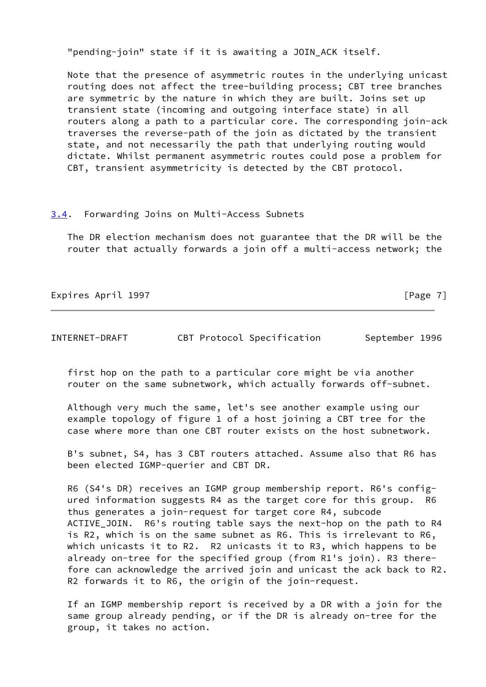"pending-join" state if it is awaiting a JOIN\_ACK itself.

 Note that the presence of asymmetric routes in the underlying unicast routing does not affect the tree-building process; CBT tree branches are symmetric by the nature in which they are built. Joins set up transient state (incoming and outgoing interface state) in all routers along a path to a particular core. The corresponding join-ack traverses the reverse-path of the join as dictated by the transient state, and not necessarily the path that underlying routing would dictate. Whilst permanent asymmetric routes could pose a problem for CBT, transient asymmetricity is detected by the CBT protocol.

# <span id="page-7-0"></span>[3.4](#page-7-0). Forwarding Joins on Multi-Access Subnets

 The DR election mechanism does not guarantee that the DR will be the router that actually forwards a join off a multi-access network; the

Expires April 1997 **Expires** April 1997

INTERNET-DRAFT CBT Protocol Specification September 1996

 first hop on the path to a particular core might be via another router on the same subnetwork, which actually forwards off-subnet.

 Although very much the same, let's see another example using our example topology of figure 1 of a host joining a CBT tree for the case where more than one CBT router exists on the host subnetwork.

 B's subnet, S4, has 3 CBT routers attached. Assume also that R6 has been elected IGMP-querier and CBT DR.

 R6 (S4's DR) receives an IGMP group membership report. R6's config ured information suggests R4 as the target core for this group. R6 thus generates a join-request for target core R4, subcode ACTIVE\_JOIN. R6's routing table says the next-hop on the path to R4 is R2, which is on the same subnet as R6. This is irrelevant to R6, which unicasts it to R2. R2 unicasts it to R3, which happens to be already on-tree for the specified group (from R1's join). R3 there fore can acknowledge the arrived join and unicast the ack back to R2. R2 forwards it to R6, the origin of the join-request.

 If an IGMP membership report is received by a DR with a join for the same group already pending, or if the DR is already on-tree for the group, it takes no action.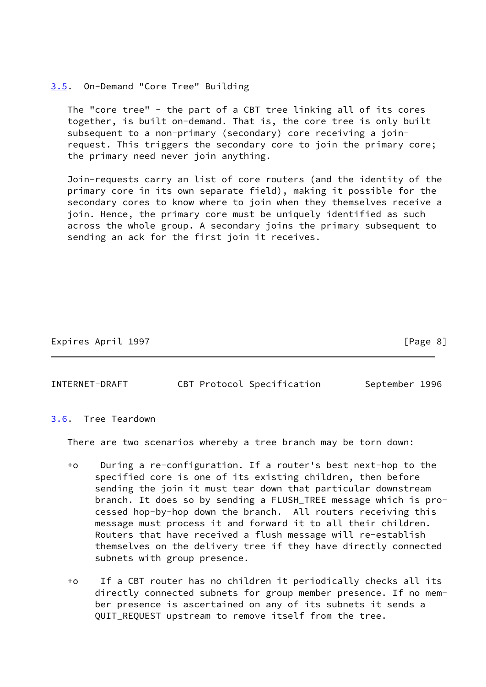## <span id="page-8-0"></span>[3.5](#page-8-0). On-Demand "Core Tree" Building

 The "core tree" - the part of a CBT tree linking all of its cores together, is built on-demand. That is, the core tree is only built subsequent to a non-primary (secondary) core receiving a join request. This triggers the secondary core to join the primary core; the primary need never join anything.

 Join-requests carry an list of core routers (and the identity of the primary core in its own separate field), making it possible for the secondary cores to know where to join when they themselves receive a join. Hence, the primary core must be uniquely identified as such across the whole group. A secondary joins the primary subsequent to sending an ack for the first join it receives.

# Expires April 1997 **Expires** April 1997

# INTERNET-DRAFT CBT Protocol Specification September 1996

## <span id="page-8-1"></span>[3.6](#page-8-1). Tree Teardown

There are two scenarios whereby a tree branch may be torn down:

- +o During a re-configuration. If a router's best next-hop to the specified core is one of its existing children, then before sending the join it must tear down that particular downstream branch. It does so by sending a FLUSH\_TREE message which is pro cessed hop-by-hop down the branch. All routers receiving this message must process it and forward it to all their children. Routers that have received a flush message will re-establish themselves on the delivery tree if they have directly connected subnets with group presence.
- +o If a CBT router has no children it periodically checks all its directly connected subnets for group member presence. If no mem ber presence is ascertained on any of its subnets it sends a QUIT REQUEST upstream to remove itself from the tree.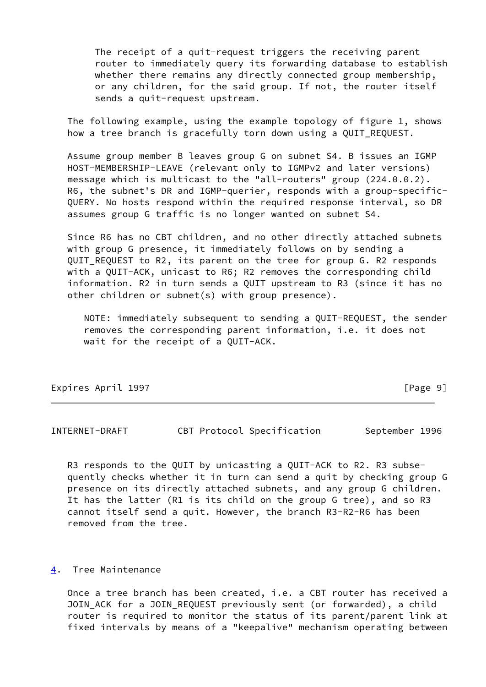The receipt of a quit-request triggers the receiving parent router to immediately query its forwarding database to establish whether there remains any directly connected group membership, or any children, for the said group. If not, the router itself sends a quit-request upstream.

 The following example, using the example topology of figure 1, shows how a tree branch is gracefully torn down using a QUIT\_REQUEST.

 Assume group member B leaves group G on subnet S4. B issues an IGMP HOST-MEMBERSHIP-LEAVE (relevant only to IGMPv2 and later versions) message which is multicast to the "all-routers" group (224.0.0.2). R6, the subnet's DR and IGMP-querier, responds with a group-specific- QUERY. No hosts respond within the required response interval, so DR assumes group G traffic is no longer wanted on subnet S4.

 Since R6 has no CBT children, and no other directly attached subnets with group G presence, it immediately follows on by sending a QUIT REQUEST to R2, its parent on the tree for group G. R2 responds with a QUIT-ACK, unicast to R6; R2 removes the corresponding child information. R2 in turn sends a QUIT upstream to R3 (since it has no other children or subnet(s) with group presence).

 NOTE: immediately subsequent to sending a QUIT-REQUEST, the sender removes the corresponding parent information, i.e. it does not wait for the receipt of a QUIT-ACK.

| Expires April 1997 | [Page 9] |
|--------------------|----------|
|                    |          |

INTERNET-DRAFT CBT Protocol Specification September 1996

 R3 responds to the QUIT by unicasting a QUIT-ACK to R2. R3 subse quently checks whether it in turn can send a quit by checking group G presence on its directly attached subnets, and any group G children. It has the latter (R1 is its child on the group G tree), and so R3 cannot itself send a quit. However, the branch R3-R2-R6 has been removed from the tree.

# <span id="page-9-0"></span>[4](#page-9-0). Tree Maintenance

 Once a tree branch has been created, i.e. a CBT router has received a JOIN\_ACK for a JOIN\_REQUEST previously sent (or forwarded), a child router is required to monitor the status of its parent/parent link at fixed intervals by means of a "keepalive" mechanism operating between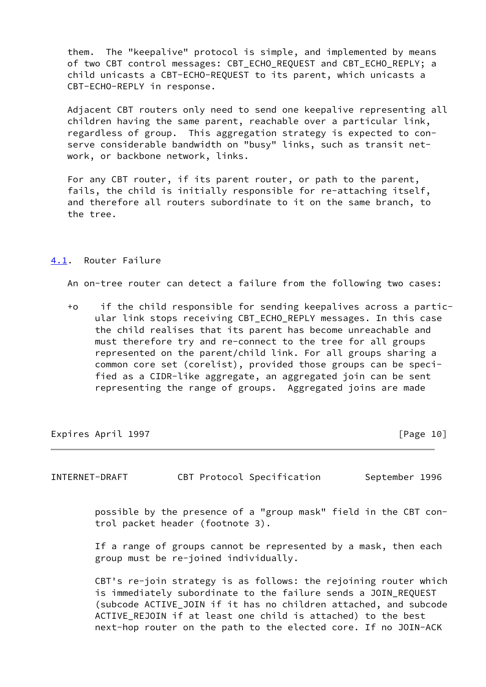them. The "keepalive" protocol is simple, and implemented by means of two CBT control messages: CBT\_ECHO\_REQUEST and CBT\_ECHO\_REPLY; a child unicasts a CBT-ECHO-REQUEST to its parent, which unicasts a CBT-ECHO-REPLY in response.

 Adjacent CBT routers only need to send one keepalive representing all children having the same parent, reachable over a particular link, regardless of group. This aggregation strategy is expected to con serve considerable bandwidth on "busy" links, such as transit net work, or backbone network, links.

 For any CBT router, if its parent router, or path to the parent, fails, the child is initially responsible for re-attaching itself, and therefore all routers subordinate to it on the same branch, to the tree.

# <span id="page-10-0"></span>[4.1](#page-10-0). Router Failure

An on-tree router can detect a failure from the following two cases:

 +o if the child responsible for sending keepalives across a partic ular link stops receiving CBT\_ECHO\_REPLY messages. In this case the child realises that its parent has become unreachable and must therefore try and re-connect to the tree for all groups represented on the parent/child link. For all groups sharing a common core set (corelist), provided those groups can be speci fied as a CIDR-like aggregate, an aggregated join can be sent representing the range of groups. Aggregated joins are made

Expires April 1997 **Expires** April 1997

INTERNET-DRAFT CBT Protocol Specification September 1996

 possible by the presence of a "group mask" field in the CBT con trol packet header (footnote 3).

 If a range of groups cannot be represented by a mask, then each group must be re-joined individually.

 CBT's re-join strategy is as follows: the rejoining router which is immediately subordinate to the failure sends a JOIN\_REQUEST (subcode ACTIVE\_JOIN if it has no children attached, and subcode ACTIVE REJOIN if at least one child is attached) to the best next-hop router on the path to the elected core. If no JOIN-ACK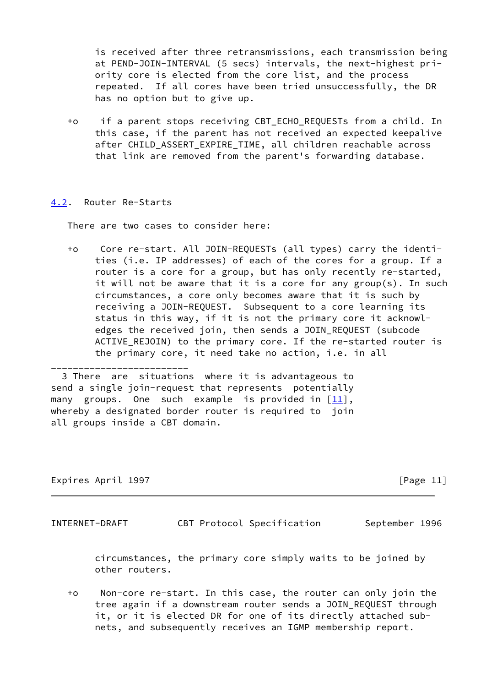is received after three retransmissions, each transmission being at PEND-JOIN-INTERVAL (5 secs) intervals, the next-highest pri ority core is elected from the core list, and the process repeated. If all cores have been tried unsuccessfully, the DR has no option but to give up.

 +o if a parent stops receiving CBT\_ECHO\_REQUESTs from a child. In this case, if the parent has not received an expected keepalive after CHILD\_ASSERT\_EXPIRE\_TIME, all children reachable across that link are removed from the parent's forwarding database.

# <span id="page-11-0"></span>[4.2](#page-11-0). Router Re-Starts

\_\_\_\_\_\_\_\_\_\_\_\_\_\_\_\_\_\_\_\_\_\_\_\_\_

There are two cases to consider here:

 +o Core re-start. All JOIN-REQUESTs (all types) carry the identi ties (i.e. IP addresses) of each of the cores for a group. If a router is a core for a group, but has only recently re-started, it will not be aware that it is a core for any group(s). In such circumstances, a core only becomes aware that it is such by receiving a JOIN-REQUEST. Subsequent to a core learning its status in this way, if it is not the primary core it acknowl edges the received join, then sends a JOIN\_REQUEST (subcode ACTIVE\_REJOIN) to the primary core. If the re-started router is the primary core, it need take no action, i.e. in all

 3 There are situations where it is advantageous to send a single join-request that represents potentially many groups. One such example is provided in  $[11]$  $[11]$ , whereby a designated border router is required to join all groups inside a CBT domain.

Expires April 1997 **Expires** April 1997

INTERNET-DRAFT CBT Protocol Specification September 1996

 circumstances, the primary core simply waits to be joined by other routers.

 +o Non-core re-start. In this case, the router can only join the tree again if a downstream router sends a JOIN\_REQUEST through it, or it is elected DR for one of its directly attached sub nets, and subsequently receives an IGMP membership report.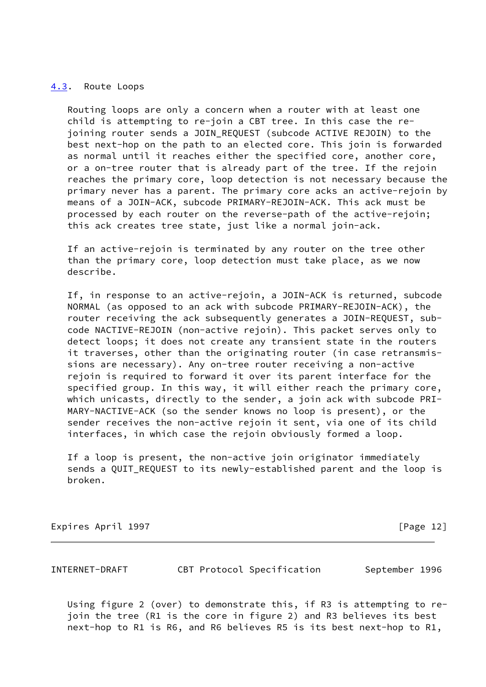## <span id="page-12-0"></span>[4.3](#page-12-0). Route Loops

 Routing loops are only a concern when a router with at least one child is attempting to re-join a CBT tree. In this case the re joining router sends a JOIN\_REQUEST (subcode ACTIVE REJOIN) to the best next-hop on the path to an elected core. This join is forwarded as normal until it reaches either the specified core, another core, or a on-tree router that is already part of the tree. If the rejoin reaches the primary core, loop detection is not necessary because the primary never has a parent. The primary core acks an active-rejoin by means of a JOIN-ACK, subcode PRIMARY-REJOIN-ACK. This ack must be processed by each router on the reverse-path of the active-rejoin; this ack creates tree state, just like a normal join-ack.

 If an active-rejoin is terminated by any router on the tree other than the primary core, loop detection must take place, as we now describe.

 If, in response to an active-rejoin, a JOIN-ACK is returned, subcode NORMAL (as opposed to an ack with subcode PRIMARY-REJOIN-ACK), the router receiving the ack subsequently generates a JOIN-REQUEST, sub code NACTIVE-REJOIN (non-active rejoin). This packet serves only to detect loops; it does not create any transient state in the routers it traverses, other than the originating router (in case retransmis sions are necessary). Any on-tree router receiving a non-active rejoin is required to forward it over its parent interface for the specified group. In this way, it will either reach the primary core, which unicasts, directly to the sender, a join ack with subcode PRI- MARY-NACTIVE-ACK (so the sender knows no loop is present), or the sender receives the non-active rejoin it sent, via one of its child interfaces, in which case the rejoin obviously formed a loop.

 If a loop is present, the non-active join originator immediately sends a QUIT\_REQUEST to its newly-established parent and the loop is broken.

Expires April 1997 **Expires** April 1997

INTERNET-DRAFT CBT Protocol Specification September 1996

 Using figure 2 (over) to demonstrate this, if R3 is attempting to re join the tree (R1 is the core in figure 2) and R3 believes its best next-hop to R1 is R6, and R6 believes R5 is its best next-hop to R1,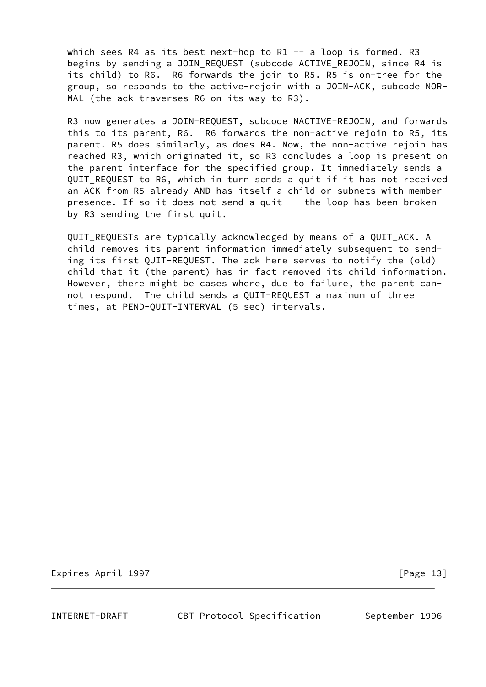which sees R4 as its best next-hop to R1  $-$  a loop is formed. R3 begins by sending a JOIN\_REQUEST (subcode ACTIVE\_REJOIN, since R4 is its child) to R6. R6 forwards the join to R5. R5 is on-tree for the group, so responds to the active-rejoin with a JOIN-ACK, subcode NOR- MAL (the ack traverses R6 on its way to R3).

 R3 now generates a JOIN-REQUEST, subcode NACTIVE-REJOIN, and forwards this to its parent, R6. R6 forwards the non-active rejoin to R5, its parent. R5 does similarly, as does R4. Now, the non-active rejoin has reached R3, which originated it, so R3 concludes a loop is present on the parent interface for the specified group. It immediately sends a QUIT\_REQUEST to R6, which in turn sends a quit if it has not received an ACK from R5 already AND has itself a child or subnets with member presence. If so it does not send a quit -- the loop has been broken by R3 sending the first quit.

 QUIT\_REQUESTs are typically acknowledged by means of a QUIT\_ACK. A child removes its parent information immediately subsequent to send ing its first QUIT-REQUEST. The ack here serves to notify the (old) child that it (the parent) has in fact removed its child information. However, there might be cases where, due to failure, the parent can not respond. The child sends a QUIT-REQUEST a maximum of three times, at PEND-QUIT-INTERVAL (5 sec) intervals.

Expires April 1997 **Expires** April 1997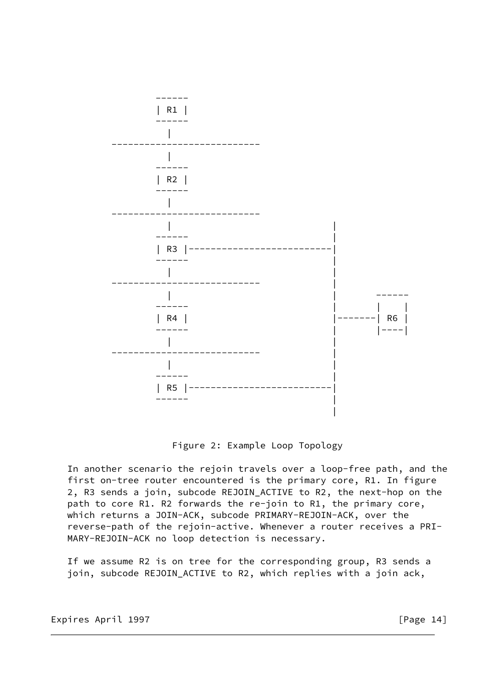

Figure 2: Example Loop Topology

 In another scenario the rejoin travels over a loop-free path, and the first on-tree router encountered is the primary core, R1. In figure 2, R3 sends a join, subcode REJOIN\_ACTIVE to R2, the next-hop on the path to core R1. R2 forwards the re-join to R1, the primary core, which returns a JOIN-ACK, subcode PRIMARY-REJOIN-ACK, over the reverse-path of the rejoin-active. Whenever a router receives a PRI- MARY-REJOIN-ACK no loop detection is necessary.

 If we assume R2 is on tree for the corresponding group, R3 sends a join, subcode REJOIN\_ACTIVE to R2, which replies with a join ack,

Expires April 1997 **Expires** April 1997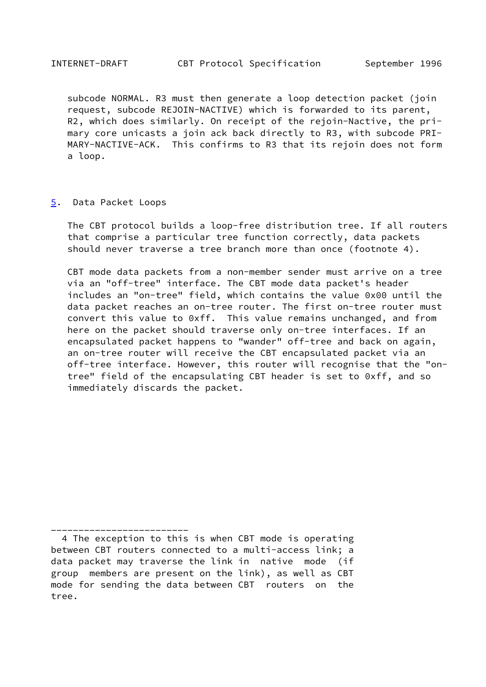subcode NORMAL. R3 must then generate a loop detection packet (join request, subcode REJOIN-NACTIVE) which is forwarded to its parent, R2, which does similarly. On receipt of the rejoin-Nactive, the pri mary core unicasts a join ack back directly to R3, with subcode PRI- MARY-NACTIVE-ACK. This confirms to R3 that its rejoin does not form a loop.

## <span id="page-15-0"></span>[5](#page-15-0). Data Packet Loops

\_\_\_\_\_\_\_\_\_\_\_\_\_\_\_\_\_\_\_\_\_\_\_\_\_

 The CBT protocol builds a loop-free distribution tree. If all routers that comprise a particular tree function correctly, data packets should never traverse a tree branch more than once (footnote 4).

 CBT mode data packets from a non-member sender must arrive on a tree via an "off-tree" interface. The CBT mode data packet's header includes an "on-tree" field, which contains the value 0x00 until the data packet reaches an on-tree router. The first on-tree router must convert this value to 0xff. This value remains unchanged, and from here on the packet should traverse only on-tree interfaces. If an encapsulated packet happens to "wander" off-tree and back on again, an on-tree router will receive the CBT encapsulated packet via an off-tree interface. However, this router will recognise that the "on tree" field of the encapsulating CBT header is set to 0xff, and so immediately discards the packet.

 <sup>4</sup> The exception to this is when CBT mode is operating between CBT routers connected to a multi-access link; a data packet may traverse the link in native mode (if group members are present on the link), as well as CBT mode for sending the data between CBT routers on the tree.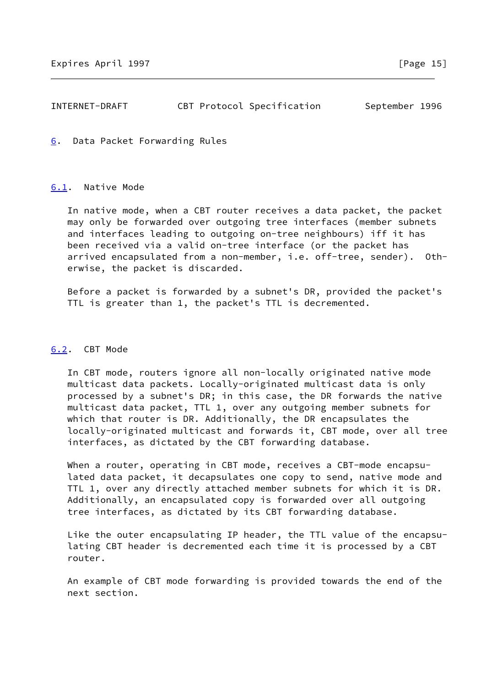# INTERNET-DRAFT CBT Protocol Specification September 1996

<span id="page-16-0"></span>[6](#page-16-0). Data Packet Forwarding Rules

## <span id="page-16-1"></span>[6.1](#page-16-1). Native Mode

 In native mode, when a CBT router receives a data packet, the packet may only be forwarded over outgoing tree interfaces (member subnets and interfaces leading to outgoing on-tree neighbours) iff it has been received via a valid on-tree interface (or the packet has arrived encapsulated from a non-member, i.e. off-tree, sender). Oth erwise, the packet is discarded.

 Before a packet is forwarded by a subnet's DR, provided the packet's TTL is greater than 1, the packet's TTL is decremented.

# <span id="page-16-2"></span>[6.2](#page-16-2). CBT Mode

 In CBT mode, routers ignore all non-locally originated native mode multicast data packets. Locally-originated multicast data is only processed by a subnet's DR; in this case, the DR forwards the native multicast data packet, TTL 1, over any outgoing member subnets for which that router is DR. Additionally, the DR encapsulates the locally-originated multicast and forwards it, CBT mode, over all tree interfaces, as dictated by the CBT forwarding database.

When a router, operating in CBT mode, receives a CBT-mode encapsu lated data packet, it decapsulates one copy to send, native mode and TTL 1, over any directly attached member subnets for which it is DR. Additionally, an encapsulated copy is forwarded over all outgoing tree interfaces, as dictated by its CBT forwarding database.

 Like the outer encapsulating IP header, the TTL value of the encapsu lating CBT header is decremented each time it is processed by a CBT router.

 An example of CBT mode forwarding is provided towards the end of the next section.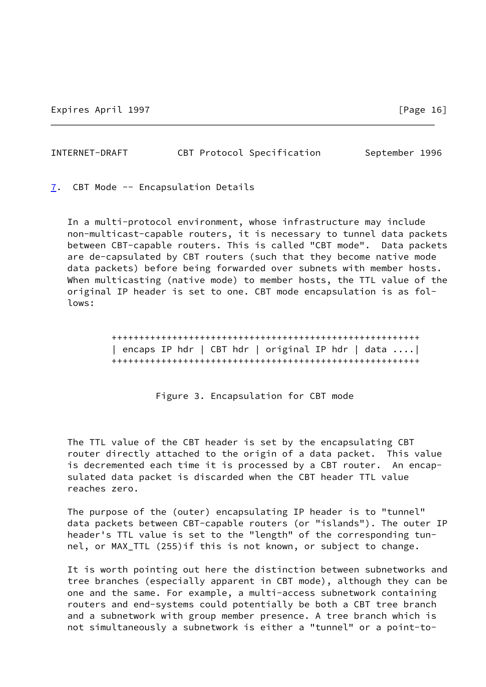| INTERNET-DRAFT | CBT Protocol Specification | September 1996 |  |
|----------------|----------------------------|----------------|--|
|                |                            |                |  |

<span id="page-17-0"></span>[7](#page-17-0). CBT Mode -- Encapsulation Details

 In a multi-protocol environment, whose infrastructure may include non-multicast-capable routers, it is necessary to tunnel data packets between CBT-capable routers. This is called "CBT mode". Data packets are de-capsulated by CBT routers (such that they become native mode data packets) before being forwarded over subnets with member hosts. When multicasting (native mode) to member hosts, the TTL value of the original IP header is set to one. CBT mode encapsulation is as fol lows:

> ++++++++++++++++++++++++++++++++++++++++++++++++++++++++ | encaps IP hdr | CBT hdr | original IP hdr | data ....| ++++++++++++++++++++++++++++++++++++++++++++++++++++++++

> > Figure 3. Encapsulation for CBT mode

 The TTL value of the CBT header is set by the encapsulating CBT router directly attached to the origin of a data packet. This value is decremented each time it is processed by a CBT router. An encap sulated data packet is discarded when the CBT header TTL value reaches zero.

 The purpose of the (outer) encapsulating IP header is to "tunnel" data packets between CBT-capable routers (or "islands"). The outer IP header's TTL value is set to the "length" of the corresponding tun nel, or MAX\_TTL (255)if this is not known, or subject to change.

 It is worth pointing out here the distinction between subnetworks and tree branches (especially apparent in CBT mode), although they can be one and the same. For example, a multi-access subnetwork containing routers and end-systems could potentially be both a CBT tree branch and a subnetwork with group member presence. A tree branch which is not simultaneously a subnetwork is either a "tunnel" or a point-to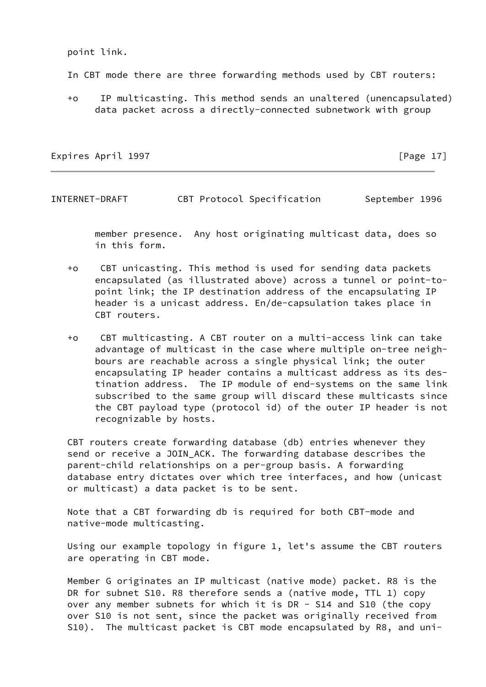point link.

In CBT mode there are three forwarding methods used by CBT routers:

 +o IP multicasting. This method sends an unaltered (unencapsulated) data packet across a directly-connected subnetwork with group

Expires April 1997 **Expires** April 1997

INTERNET-DRAFT CBT Protocol Specification September 1996

 member presence. Any host originating multicast data, does so in this form.

- +o CBT unicasting. This method is used for sending data packets encapsulated (as illustrated above) across a tunnel or point-to point link; the IP destination address of the encapsulating IP header is a unicast address. En/de-capsulation takes place in CBT routers.
- +o CBT multicasting. A CBT router on a multi-access link can take advantage of multicast in the case where multiple on-tree neigh bours are reachable across a single physical link; the outer encapsulating IP header contains a multicast address as its des tination address. The IP module of end-systems on the same link subscribed to the same group will discard these multicasts since the CBT payload type (protocol id) of the outer IP header is not recognizable by hosts.

 CBT routers create forwarding database (db) entries whenever they send or receive a JOIN\_ACK. The forwarding database describes the parent-child relationships on a per-group basis. A forwarding database entry dictates over which tree interfaces, and how (unicast or multicast) a data packet is to be sent.

 Note that a CBT forwarding db is required for both CBT-mode and native-mode multicasting.

 Using our example topology in figure 1, let's assume the CBT routers are operating in CBT mode.

 Member G originates an IP multicast (native mode) packet. R8 is the DR for subnet S10. R8 therefore sends a (native mode, TTL 1) copy over any member subnets for which it is DR - S14 and S10 (the copy over S10 is not sent, since the packet was originally received from S10). The multicast packet is CBT mode encapsulated by R8, and uni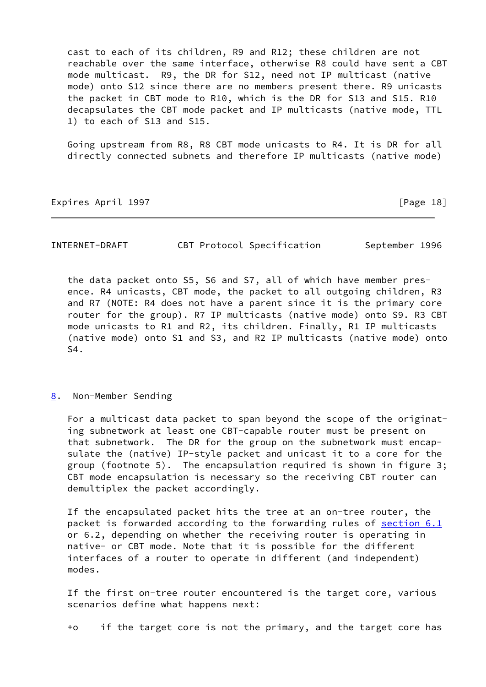cast to each of its children, R9 and R12; these children are not reachable over the same interface, otherwise R8 could have sent a CBT mode multicast. R9, the DR for S12, need not IP multicast (native mode) onto S12 since there are no members present there. R9 unicasts the packet in CBT mode to R10, which is the DR for S13 and S15. R10 decapsulates the CBT mode packet and IP multicasts (native mode, TTL 1) to each of S13 and S15.

 Going upstream from R8, R8 CBT mode unicasts to R4. It is DR for all directly connected subnets and therefore IP multicasts (native mode)

## Expires April 1997 **Expires** April 1997

| INTERNET-DRAFT | CBT Protocol Specification |  | September 1996 |  |
|----------------|----------------------------|--|----------------|--|
|----------------|----------------------------|--|----------------|--|

 the data packet onto S5, S6 and S7, all of which have member pres ence. R4 unicasts, CBT mode, the packet to all outgoing children, R3 and R7 (NOTE: R4 does not have a parent since it is the primary core router for the group). R7 IP multicasts (native mode) onto S9. R3 CBT mode unicasts to R1 and R2, its children. Finally, R1 IP multicasts (native mode) onto S1 and S3, and R2 IP multicasts (native mode) onto S4.

## <span id="page-19-0"></span>[8](#page-19-0). Non-Member Sending

 For a multicast data packet to span beyond the scope of the originat ing subnetwork at least one CBT-capable router must be present on that subnetwork. The DR for the group on the subnetwork must encap sulate the (native) IP-style packet and unicast it to a core for the group (footnote 5). The encapsulation required is shown in figure 3; CBT mode encapsulation is necessary so the receiving CBT router can demultiplex the packet accordingly.

 If the encapsulated packet hits the tree at an on-tree router, the packet is forwarded according to the forwarding rules of [section 6.1](#page-16-1) or 6.2, depending on whether the receiving router is operating in native- or CBT mode. Note that it is possible for the different interfaces of a router to operate in different (and independent) modes.

 If the first on-tree router encountered is the target core, various scenarios define what happens next:

+o if the target core is not the primary, and the target core has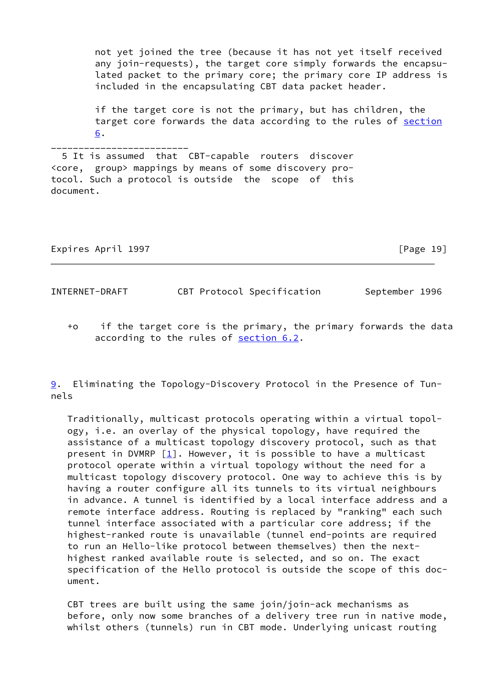not yet joined the tree (because it has not yet itself received any join-requests), the target core simply forwards the encapsu lated packet to the primary core; the primary core IP address is included in the encapsulating CBT data packet header.

 if the target core is not the primary, but has children, the target core forwards the data according to the rules of [section](#page-16-0) [6](#page-16-0).

\_\_\_\_\_\_\_\_\_\_\_\_\_\_\_\_\_\_\_\_\_\_\_\_\_ 5 It is assumed that CBT-capable routers discover <core, group> mappings by means of some discovery protocol. Such a protocol is outside the scope of this document.

Expires April 1997 **Expires** April 1997

INTERNET-DRAFT CBT Protocol Specification September 1996

 +o if the target core is the primary, the primary forwards the data according to the rules of [section 6.2](#page-16-2).

<span id="page-20-0"></span>[9](#page-20-0). Eliminating the Topology-Discovery Protocol in the Presence of Tunnels

 Traditionally, multicast protocols operating within a virtual topol ogy, i.e. an overlay of the physical topology, have required the assistance of a multicast topology discovery protocol, such as that present in DVMRP  $\lceil \frac{1}{2} \rceil$ . However, it is possible to have a multicast protocol operate within a virtual topology without the need for a multicast topology discovery protocol. One way to achieve this is by having a router configure all its tunnels to its virtual neighbours in advance. A tunnel is identified by a local interface address and a remote interface address. Routing is replaced by "ranking" each such tunnel interface associated with a particular core address; if the highest-ranked route is unavailable (tunnel end-points are required to run an Hello-like protocol between themselves) then the next highest ranked available route is selected, and so on. The exact specification of the Hello protocol is outside the scope of this doc ument.

 CBT trees are built using the same join/join-ack mechanisms as before, only now some branches of a delivery tree run in native mode, whilst others (tunnels) run in CBT mode. Underlying unicast routing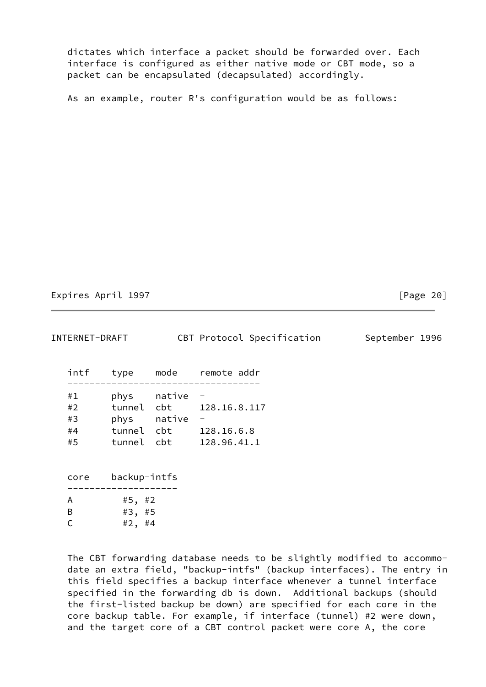dictates which interface a packet should be forwarded over. Each interface is configured as either native mode or CBT mode, so a packet can be encapsulated (decapsulated) accordingly.

As an example, router R's configuration would be as follows:

Expires April 1997 **Expires** April 1997

| INTERNET-DRAFT    |          | CBT Protocol Specification   | September 1996 |
|-------------------|----------|------------------------------|----------------|
| intf<br>type      | mode     | remote addr                  |                |
| #1<br>phys        | native - |                              |                |
| #2                |          | tunnel cbt 128.16.8.117      |                |
| phys native<br>#3 |          | $\qquad \qquad \blacksquare$ |                |
| tunnel cbt<br>#4  |          | 128.16.6.8                   |                |
| #5<br>tunnel cbt  |          | 128.96.41.1                  |                |
|                   |          |                              |                |
| .                 |          |                              |                |

 core backup-intfs -------------------- A #5, #2 B #3, #5 C  $#2, #4$ 

 The CBT forwarding database needs to be slightly modified to accommo date an extra field, "backup-intfs" (backup interfaces). The entry in this field specifies a backup interface whenever a tunnel interface specified in the forwarding db is down. Additional backups (should the first-listed backup be down) are specified for each core in the core backup table. For example, if interface (tunnel) #2 were down, and the target core of a CBT control packet were core A, the core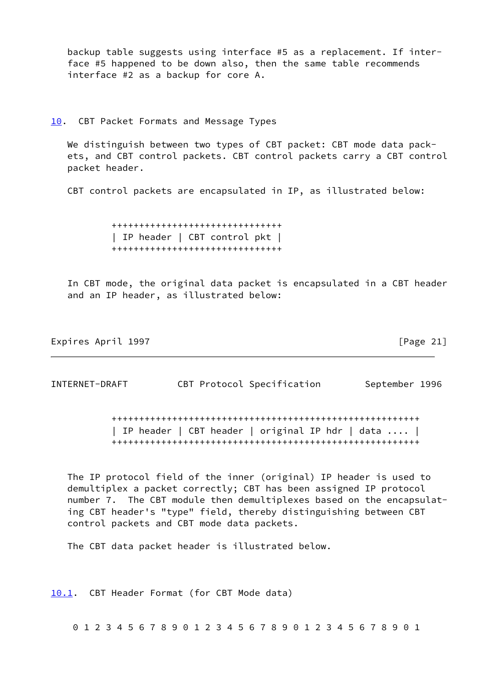backup table suggests using interface #5 as a replacement. If inter face #5 happened to be down also, then the same table recommends interface #2 as a backup for core A.

## <span id="page-22-0"></span>[10.](#page-22-0) CBT Packet Formats and Message Types

We distinguish between two types of CBT packet: CBT mode data pack ets, and CBT control packets. CBT control packets carry a CBT control packet header.

CBT control packets are encapsulated in IP, as illustrated below:

 +++++++++++++++++++++++++++++++ | IP header | CBT control pkt | +++++++++++++++++++++++++++++++

 In CBT mode, the original data packet is encapsulated in a CBT header and an IP header, as illustrated below:

Expires April 1997 **Expires** April 1997

INTERNET-DRAFT CBT Protocol Specification September 1996

 ++++++++++++++++++++++++++++++++++++++++++++++++++++++++ | IP header | CBT header | original IP hdr | data .... | ++++++++++++++++++++++++++++++++++++++++++++++++++++++++

 The IP protocol field of the inner (original) IP header is used to demultiplex a packet correctly; CBT has been assigned IP protocol number 7. The CBT module then demultiplexes based on the encapsulat ing CBT header's "type" field, thereby distinguishing between CBT control packets and CBT mode data packets.

The CBT data packet header is illustrated below.

<span id="page-22-1"></span>[10.1](#page-22-1). CBT Header Format (for CBT Mode data)

0 1 2 3 4 5 6 7 8 9 0 1 2 3 4 5 6 7 8 9 0 1 2 3 4 5 6 7 8 9 0 1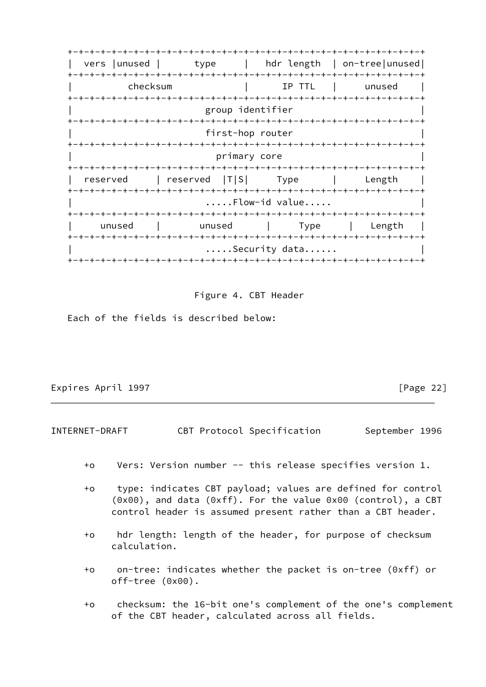+-+-+-+-+-+-+-+-+-+-+-+-+-+-+-+-+-+-+-+-+-+-+-+-+-+-+-+-+-+-+-+-+ | vers |unused | type | hdr length | on-tree|unused| +-+-+-+-+-+-+-+-+-+-+-+-+-+-+-+-+-+-+-+-+-+-+-+-+-+-+-+-+-+-+-+-+ | checksum | IP TTL | unused | +-+-+-+-+-+-+-+-+-+-+-+-+-+-+-+-+-+-+-+-+-+-+-+-+-+-+-+-+-+-+-+-+ group identifier +-+-+-+-+-+-+-+-+-+-+-+-+-+-+-+-+-+-+-+-+-+-+-+-+-+-+-+-+-+-+-+-+ first-hop router +-+-+-+-+-+-+-+-+-+-+-+-+-+-+-+-+-+-+-+-+-+-+-+-+-+-+-+-+-+-+-+-+ primary core +-+-+-+-+-+-+-+-+-+-+-+-+-+-+-+-+-+-+-+-+-+-+-+-+-+-+-+-+-+-+-+-+ | reserved | reserved | T|S| Type | Length | +-+-+-+-+-+-+-+-+-+-+-+-+-+-+-+-+-+-+-+-+-+-+-+-+-+-+-+-+-+-+-+-+ .....Flow-id value..... +-+-+-+-+-+-+-+-+-+-+-+-+-+-+-+-+-+-+-+-+-+-+-+-+-+-+-+-+-+-+-+-+ | unused | unused | Type | Length | +-+-+-+-+-+-+-+-+-+-+-+-+-+-+-+-+-+-+-+-+-+-+-+-+-+-+-+-+-+-+-+-+ .....Security data...... +-+-+-+-+-+-+-+-+-+-+-+-+-+-+-+-+-+-+-+-+-+-+-+-+-+-+-+-+-+-+-+-+

Figure 4. CBT Header

Each of the fields is described below:

Expires April 1997 **Expires** April 1997

INTERNET-DRAFT CBT Protocol Specification September 1996

- +o Vers: Version number -- this release specifies version 1.
- +o type: indicates CBT payload; values are defined for control (0x00), and data (0xff). For the value 0x00 (control), a CBT control header is assumed present rather than a CBT header.
- +o hdr length: length of the header, for purpose of checksum calculation.
- +o on-tree: indicates whether the packet is on-tree (0xff) or off-tree (0x00).
- +o checksum: the 16-bit one's complement of the one's complement of the CBT header, calculated across all fields.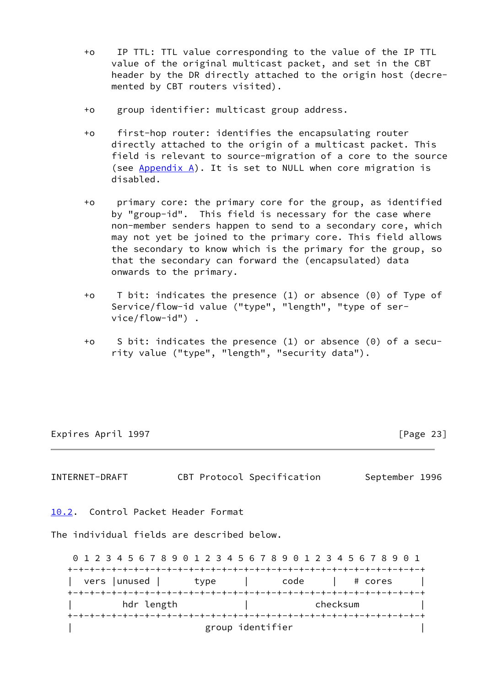- +o IP TTL: TTL value corresponding to the value of the IP TTL value of the original multicast packet, and set in the CBT header by the DR directly attached to the origin host (decre mented by CBT routers visited).
- +o group identifier: multicast group address.
- +o first-hop router: identifies the encapsulating router directly attached to the origin of a multicast packet. This field is relevant to source-migration of a core to the source (see Appendix A). It is set to NULL when core migration is disabled.
- +o primary core: the primary core for the group, as identified by "group-id". This field is necessary for the case where non-member senders happen to send to a secondary core, which may not yet be joined to the primary core. This field allows the secondary to know which is the primary for the group, so that the secondary can forward the (encapsulated) data onwards to the primary.
- +o T bit: indicates the presence (1) or absence (0) of Type of Service/flow-id value ("type", "length", "type of ser vice/flow-id") .
- +o S bit: indicates the presence (1) or absence (0) of a secu rity value ("type", "length", "security data").

Expires April 1997 **Expires April 1997** 

INTERNET-DRAFT CBT Protocol Specification September 1996

<span id="page-24-0"></span>[10.2](#page-24-0). Control Packet Header Format

The individual fields are described below.

 0 1 2 3 4 5 6 7 8 9 0 1 2 3 4 5 6 7 8 9 0 1 2 3 4 5 6 7 8 9 0 1 +-+-+-+-+-+-+-+-+-+-+-+-+-+-+-+-+-+-+-+-+-+-+-+-+-+-+-+-+-+-+-+-+ vers |unused | type | code | # cores +-+-+-+-+-+-+-+-+-+-+-+-+-+-+-+-+-+-+-+-+-+-+-+-+-+-+-+-+-+-+-+-+ | hdr length | checksum | +-+-+-+-+-+-+-+-+-+-+-+-+-+-+-+-+-+-+-+-+-+-+-+-+-+-+-+-+-+-+-+-+ | group identifier |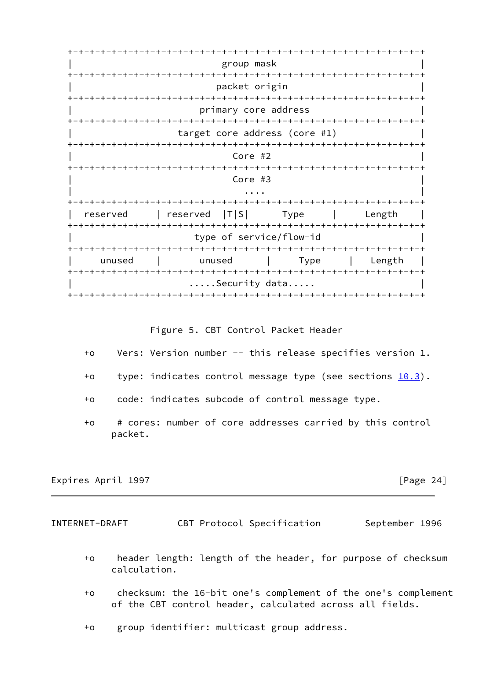+-+-+-+-+-+-+-+-+-+-+-+-+-+-+-+-+-+-+-+-+-+-+-+-+-+-+-+-+-+-+-+-+ | group mask | +-+-+-+-+-+-+-+-+-+-+-+-+-+-+-+-+-+-+-+-+-+-+-+-+-+-+-+-+-+-+-+-+ packet origin +-+-+-+-+-+-+-+-+-+-+-+-+-+-+-+-+-+-+-+-+-+-+-+-+-+-+-+-+-+-+-+-+ primary core address +-+-+-+-+-+-+-+-+-+-+-+-+-+-+-+-+-+-+-+-+-+-+-+-+-+-+-+-+-+-+-+-+ target core address (core #1) +-+-+-+-+-+-+-+-+-+-+-+-+-+-+-+-+-+-+-+-+-+-+-+-+-+-+-+-+-+-+-+-+ | Core #2 | Core = 0 | Core = 0 | Core = 0 | Core = 0 | Core = 0 | Core = 0 | Core = 0 | Core = 0 | Core = 0 | Core = 0 | Core = 0 | Core = 0 | Core = 0 | Core = 0 | Core = 0 | Core = 0 | Core = 0 | Core = 0 | Core = 0 | C +-+-+-+-+-+-+-+-+-+-+-+-+-+-+-+-+-+-+-+-+-+-+-+-+-+-+-+-+-+-+-+-+ | Core #3 | Core = 0.000 | Core = 0.000 | Core = 0.000 | Core = 0.000 | Core = 0.000 | Core = 0.000 | Core = 0.000 | Core = 0.000 | Core = 0.000 | Core = 0.000 | Core = 0.000 | Core = 0.000 | Core = 0.000 | Core = 0.000 | | .... | ... | ... | ... | ... | ... | ... | ... | ... | ... | ... | ... | ... | ... | ... | ... | ... | ... | +-+-+-+-+-+-+-+-+-+-+-+-+-+-+-+-+-+-+-+-+-+-+-+-+-+-+-+-+-+-+-+-+ reserved | reserved  $|T|S|$  Type | Length +-+-+-+-+-+-+-+-+-+-+-+-+-+-+-+-+-+-+-+-+-+-+-+-+-+-+-+-+-+-+-+-+ type of service/flow-id +-+-+-+-+-+-+-+-+-+-+-+-+-+-+-+-+-+-+-+-+-+-+-+-+-+-+-+-+-+-+-+-+ | unused | unused | Type | Length | +-+-+-+-+-+-+-+-+-+-+-+-+-+-+-+-+-+-+-+-+-+-+-+-+-+-+-+-+-+-+-+-+ .....Security data..... +-+-+-+-+-+-+-+-+-+-+-+-+-+-+-+-+-+-+-+-+-+-+-+-+-+-+-+-+-+-+-+-+

Figure 5. CBT Control Packet Header

- +o Vers: Version number -- this release specifies version 1.
- +o type: indicates control message type (see sections  $10.3$ ).
- +o code: indicates subcode of control message type.
- +o # cores: number of core addresses carried by this control packet.

Expires April 1997 **Expires** April 1997

INTERNET-DRAFT CBT Protocol Specification September 1996

- +o header length: length of the header, for purpose of checksum calculation.
- +o checksum: the 16-bit one's complement of the one's complement of the CBT control header, calculated across all fields.

+o group identifier: multicast group address.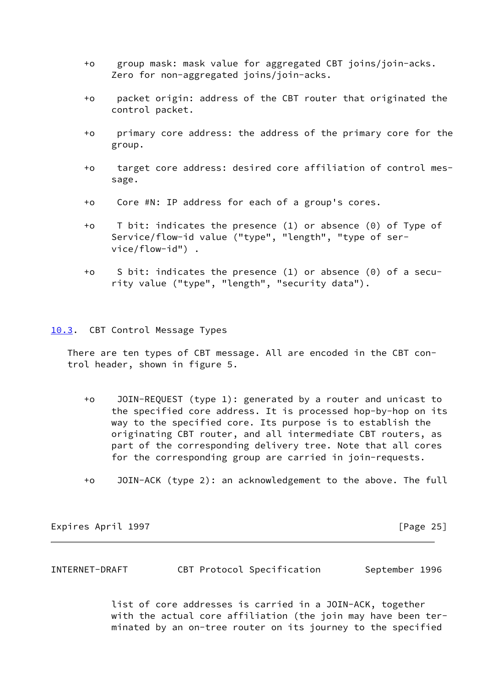- +o group mask: mask value for aggregated CBT joins/join-acks. Zero for non-aggregated joins/join-acks.
- +o packet origin: address of the CBT router that originated the control packet.
- +o primary core address: the address of the primary core for the group.
- +o target core address: desired core affiliation of control mes sage.
- +o Core #N: IP address for each of a group's cores.
- +o T bit: indicates the presence (1) or absence (0) of Type of Service/flow-id value ("type", "length", "type of ser vice/flow-id") .
- +o S bit: indicates the presence (1) or absence (0) of a secu rity value ("type", "length", "security data").
- <span id="page-26-0"></span>[10.3](#page-26-0). CBT Control Message Types

 There are ten types of CBT message. All are encoded in the CBT con trol header, shown in figure 5.

- +o JOIN-REQUEST (type 1): generated by a router and unicast to the specified core address. It is processed hop-by-hop on its way to the specified core. Its purpose is to establish the originating CBT router, and all intermediate CBT routers, as part of the corresponding delivery tree. Note that all cores for the corresponding group are carried in join-requests.
- +o JOIN-ACK (type 2): an acknowledgement to the above. The full

Expires April 1997 **Expires** April 1997

INTERNET-DRAFT CBT Protocol Specification September 1996

 list of core addresses is carried in a JOIN-ACK, together with the actual core affiliation (the join may have been ter minated by an on-tree router on its journey to the specified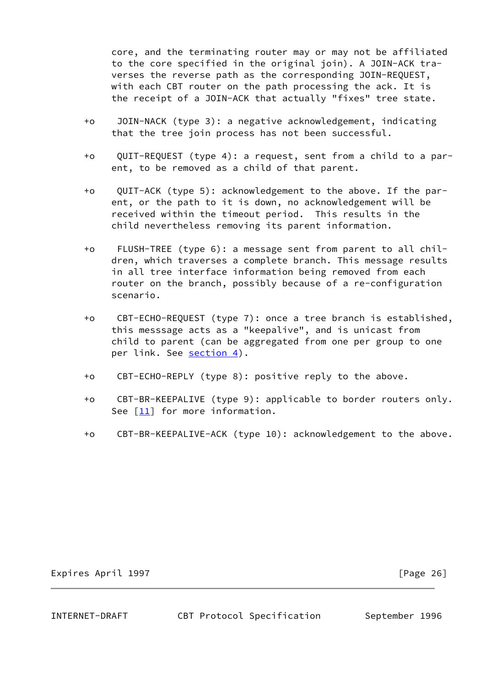core, and the terminating router may or may not be affiliated to the core specified in the original join). A JOIN-ACK tra verses the reverse path as the corresponding JOIN-REQUEST, with each CBT router on the path processing the ack. It is the receipt of a JOIN-ACK that actually "fixes" tree state.

- +o JOIN-NACK (type 3): a negative acknowledgement, indicating that the tree join process has not been successful.
- +o QUIT-REQUEST (type 4): a request, sent from a child to a par ent, to be removed as a child of that parent.
- +o QUIT-ACK (type 5): acknowledgement to the above. If the par ent, or the path to it is down, no acknowledgement will be received within the timeout period. This results in the child nevertheless removing its parent information.
- +o FLUSH-TREE (type 6): a message sent from parent to all chil dren, which traverses a complete branch. This message results in all tree interface information being removed from each router on the branch, possibly because of a re-configuration scenario.
- +o CBT-ECHO-REQUEST (type 7): once a tree branch is established, this messsage acts as a "keepalive", and is unicast from child to parent (can be aggregated from one per group to one per link. See [section 4\)](#page-9-0).
- +o CBT-ECHO-REPLY (type 8): positive reply to the above.
- +o CBT-BR-KEEPALIVE (type 9): applicable to border routers only. See [\[11\]](#page-46-2) for more information.
- +o CBT-BR-KEEPALIVE-ACK (type 10): acknowledgement to the above.

# Expires April 1997 **Expires** April 1997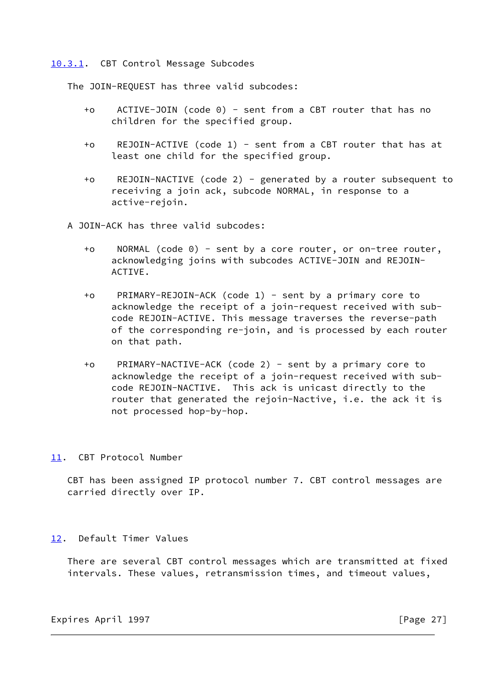## <span id="page-28-0"></span>[10.3.1](#page-28-0). CBT Control Message Subcodes

The JOIN-REQUEST has three valid subcodes:

- +o ACTIVE-JOIN (code 0) sent from a CBT router that has no children for the specified group.
- +o REJOIN-ACTIVE (code 1) sent from a CBT router that has at least one child for the specified group.
- +o REJOIN-NACTIVE (code 2) generated by a router subsequent to receiving a join ack, subcode NORMAL, in response to a active-rejoin.
- A JOIN-ACK has three valid subcodes:
	- +o NORMAL (code 0) sent by a core router, or on-tree router, acknowledging joins with subcodes ACTIVE-JOIN and REJOIN- ACTIVE.
	- +o PRIMARY-REJOIN-ACK (code 1) sent by a primary core to acknowledge the receipt of a join-request received with sub code REJOIN-ACTIVE. This message traverses the reverse-path of the corresponding re-join, and is processed by each router on that path.
	- +o PRIMARY-NACTIVE-ACK (code 2) sent by a primary core to acknowledge the receipt of a join-request received with sub code REJOIN-NACTIVE. This ack is unicast directly to the router that generated the rejoin-Nactive, i.e. the ack it is not processed hop-by-hop.

# <span id="page-28-1"></span>[11.](#page-28-1) CBT Protocol Number

 CBT has been assigned IP protocol number 7. CBT control messages are carried directly over IP.

## <span id="page-28-2"></span>[12.](#page-28-2) Default Timer Values

 There are several CBT control messages which are transmitted at fixed intervals. These values, retransmission times, and timeout values,

Expires April 1997 **Expires** April 1997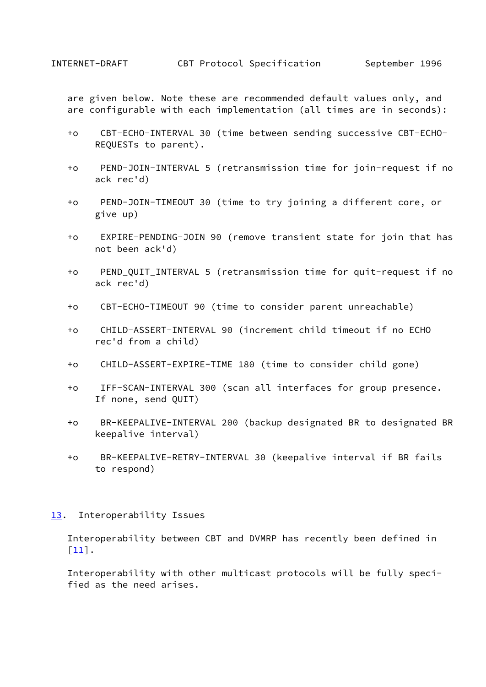are given below. Note these are recommended default values only, and are configurable with each implementation (all times are in seconds):

- +o CBT-ECHO-INTERVAL 30 (time between sending successive CBT-ECHO- REQUESTs to parent).
- +o PEND-JOIN-INTERVAL 5 (retransmission time for join-request if no ack rec'd)
- +o PEND-JOIN-TIMEOUT 30 (time to try joining a different core, or give up)
- +o EXPIRE-PENDING-JOIN 90 (remove transient state for join that has not been ack'd)
- +o PEND\_QUIT\_INTERVAL 5 (retransmission time for quit-request if no ack rec'd)
- +o CBT-ECHO-TIMEOUT 90 (time to consider parent unreachable)
- +o CHILD-ASSERT-INTERVAL 90 (increment child timeout if no ECHO rec'd from a child)
- +o CHILD-ASSERT-EXPIRE-TIME 180 (time to consider child gone)
- +o IFF-SCAN-INTERVAL 300 (scan all interfaces for group presence. If none, send QUIT)
- +o BR-KEEPALIVE-INTERVAL 200 (backup designated BR to designated BR keepalive interval)
- +o BR-KEEPALIVE-RETRY-INTERVAL 30 (keepalive interval if BR fails to respond)
- <span id="page-29-0"></span>[13.](#page-29-0) Interoperability Issues

 Interoperability between CBT and DVMRP has recently been defined in  $[11]$ .

 Interoperability with other multicast protocols will be fully speci fied as the need arises.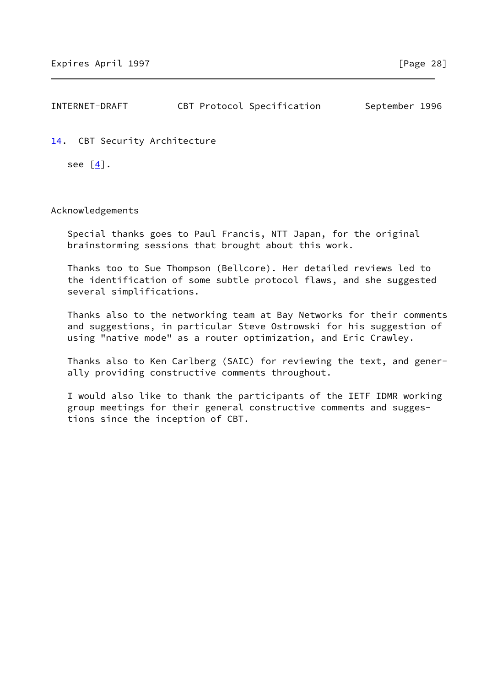| INTERNET-DRAFT | CBT Protocol Specification | September 1996 |  |
|----------------|----------------------------|----------------|--|
|                |                            |                |  |

<span id="page-30-0"></span>[14.](#page-30-0) CBT Security Architecture

see  $\lceil \frac{4}{3} \rceil$ .

Acknowledgements

 Special thanks goes to Paul Francis, NTT Japan, for the original brainstorming sessions that brought about this work.

 Thanks too to Sue Thompson (Bellcore). Her detailed reviews led to the identification of some subtle protocol flaws, and she suggested several simplifications.

 Thanks also to the networking team at Bay Networks for their comments and suggestions, in particular Steve Ostrowski for his suggestion of using "native mode" as a router optimization, and Eric Crawley.

 Thanks also to Ken Carlberg (SAIC) for reviewing the text, and gener ally providing constructive comments throughout.

 I would also like to thank the participants of the IETF IDMR working group meetings for their general constructive comments and sugges tions since the inception of CBT.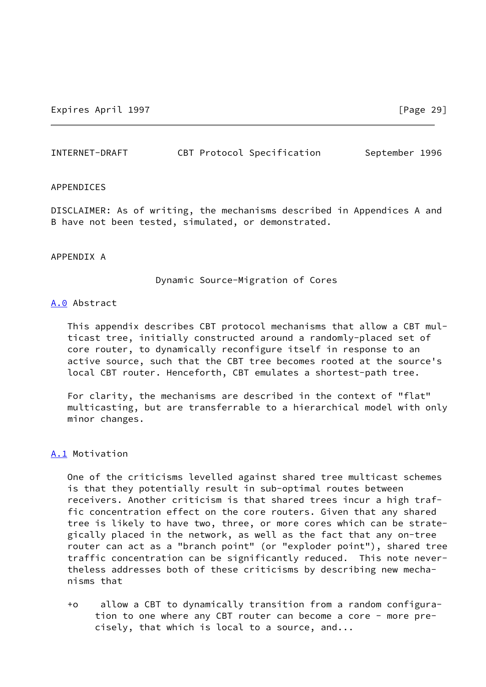| INTERNET-DRAFT | CBT Protocol Specification | September 1996 |  |
|----------------|----------------------------|----------------|--|
|                |                            |                |  |

## APPENDICES

DISCLAIMER: As of writing, the mechanisms described in Appendices A and B have not been tested, simulated, or demonstrated.

# APPENDIX A

Dynamic Source-Migration of Cores

## <span id="page-31-0"></span>[A.0](#page-31-0) Abstract

 This appendix describes CBT protocol mechanisms that allow a CBT mul ticast tree, initially constructed around a randomly-placed set of core router, to dynamically reconfigure itself in response to an active source, such that the CBT tree becomes rooted at the source's local CBT router. Henceforth, CBT emulates a shortest-path tree.

 For clarity, the mechanisms are described in the context of "flat" multicasting, but are transferrable to a hierarchical model with only minor changes.

# <span id="page-31-1"></span>[A.1](#page-31-1) Motivation

 One of the criticisms levelled against shared tree multicast schemes is that they potentially result in sub-optimal routes between receivers. Another criticism is that shared trees incur a high traf fic concentration effect on the core routers. Given that any shared tree is likely to have two, three, or more cores which can be strate gically placed in the network, as well as the fact that any on-tree router can act as a "branch point" (or "exploder point"), shared tree traffic concentration can be significantly reduced. This note never theless addresses both of these criticisms by describing new mecha nisms that

 +o allow a CBT to dynamically transition from a random configura tion to one where any CBT router can become a core - more pre cisely, that which is local to a source, and...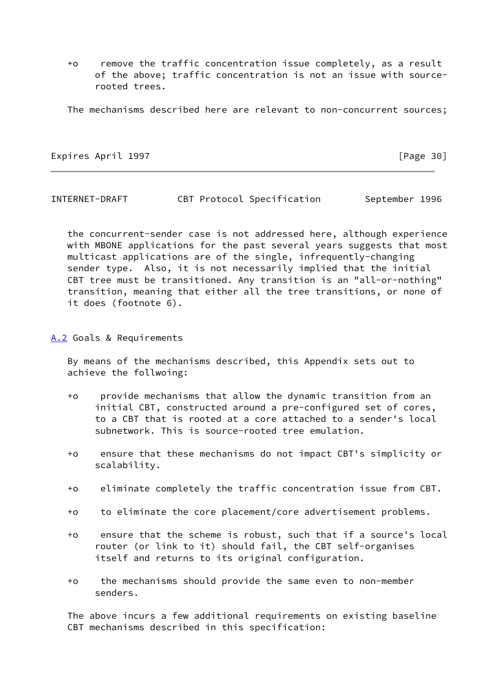+o remove the traffic concentration issue completely, as a result of the above; traffic concentration is not an issue with source rooted trees.

The mechanisms described here are relevant to non-concurrent sources;

Expires April 1997 **Expires** April 1997

INTERNET-DRAFT CBT Protocol Specification September 1996

 the concurrent-sender case is not addressed here, although experience with MBONE applications for the past several years suggests that most multicast applications are of the single, infrequently-changing sender type. Also, it is not necessarily implied that the initial CBT tree must be transitioned. Any transition is an "all-or-nothing" transition, meaning that either all the tree transitions, or none of it does (footnote 6).

<span id="page-32-0"></span>[A.2](#page-32-0) Goals & Requirements

 By means of the mechanisms described, this Appendix sets out to achieve the follwoing:

- +o provide mechanisms that allow the dynamic transition from an initial CBT, constructed around a pre-configured set of cores, to a CBT that is rooted at a core attached to a sender's local subnetwork. This is source-rooted tree emulation.
- +o ensure that these mechanisms do not impact CBT's simplicity or scalability.
- +o eliminate completely the traffic concentration issue from CBT.
- +o to eliminate the core placement/core advertisement problems.
- +o ensure that the scheme is robust, such that if a source's local router (or link to it) should fail, the CBT self-organises itself and returns to its original configuration.
- +o the mechanisms should provide the same even to non-member senders.

 The above incurs a few additional requirements on existing baseline CBT mechanisms described in this specification: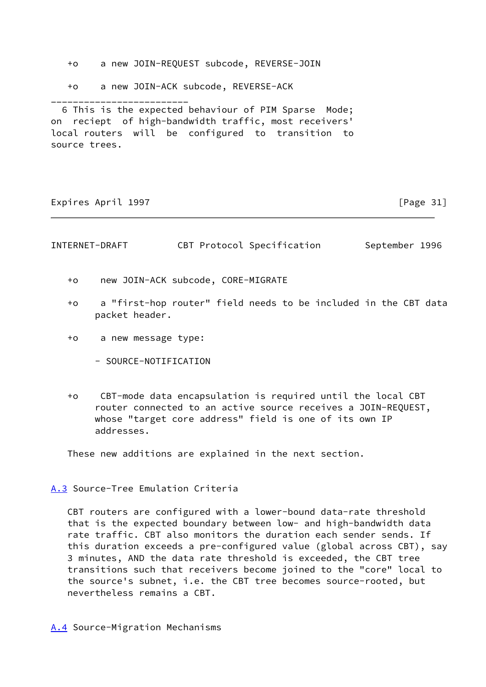- +o a new JOIN-REQUEST subcode, REVERSE-JOIN
- +o a new JOIN-ACK subcode, REVERSE-ACK

 6 This is the expected behaviour of PIM Sparse Mode; on reciept of high-bandwidth traffic, most receivers' local routers will be configured to transition to source trees.

Expires April 1997 **Expires** April 1997

\_\_\_\_\_\_\_\_\_\_\_\_\_\_\_\_\_\_\_\_\_\_\_\_\_

| INTERNET-DRAFT |  |  | CBT Protocol Specification | September 1996 |  |
|----------------|--|--|----------------------------|----------------|--|
|----------------|--|--|----------------------------|----------------|--|

- +o new JOIN-ACK subcode, CORE-MIGRATE
- +o a "first-hop router" field needs to be included in the CBT data packet header.
- +o a new message type:
	- SOURCE-NOTIFICATION
- +o CBT-mode data encapsulation is required until the local CBT router connected to an active source receives a JOIN-REQUEST, whose "target core address" field is one of its own IP addresses.

These new additions are explained in the next section.

<span id="page-33-0"></span>[A.3](#page-33-0) Source-Tree Emulation Criteria

 CBT routers are configured with a lower-bound data-rate threshold that is the expected boundary between low- and high-bandwidth data rate traffic. CBT also monitors the duration each sender sends. If this duration exceeds a pre-configured value (global across CBT), say 3 minutes, AND the data rate threshold is exceeded, the CBT tree transitions such that receivers become joined to the "core" local to the source's subnet, i.e. the CBT tree becomes source-rooted, but nevertheless remains a CBT.

<span id="page-33-1"></span>[A.4](#page-33-1) Source-Migration Mechanisms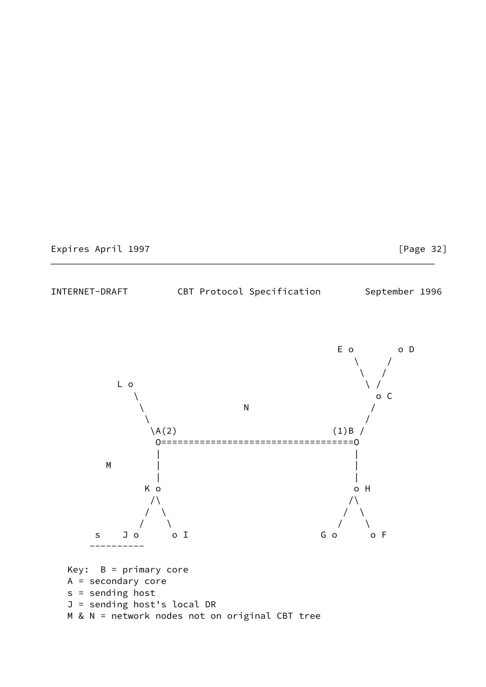# Expires April 1997 **Expires** April 1997

INTERNET-DRAFT CBT Protocol Specification September 1996

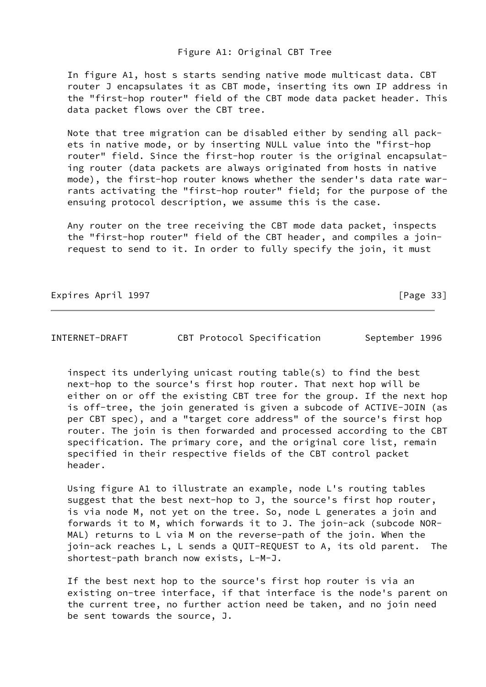# Figure A1: Original CBT Tree

 In figure A1, host s starts sending native mode multicast data. CBT router J encapsulates it as CBT mode, inserting its own IP address in the "first-hop router" field of the CBT mode data packet header. This data packet flows over the CBT tree.

 Note that tree migration can be disabled either by sending all pack ets in native mode, or by inserting NULL value into the "first-hop router" field. Since the first-hop router is the original encapsulat ing router (data packets are always originated from hosts in native mode), the first-hop router knows whether the sender's data rate war rants activating the "first-hop router" field; for the purpose of the ensuing protocol description, we assume this is the case.

 Any router on the tree receiving the CBT mode data packet, inspects the "first-hop router" field of the CBT header, and compiles a join request to send to it. In order to fully specify the join, it must

Expires April 1997 **Expires** April 1997

INTERNET-DRAFT CBT Protocol Specification September 1996

 inspect its underlying unicast routing table(s) to find the best next-hop to the source's first hop router. That next hop will be either on or off the existing CBT tree for the group. If the next hop is off-tree, the join generated is given a subcode of ACTIVE-JOIN (as per CBT spec), and a "target core address" of the source's first hop router. The join is then forwarded and processed according to the CBT specification. The primary core, and the original core list, remain specified in their respective fields of the CBT control packet header.

 Using figure A1 to illustrate an example, node L's routing tables suggest that the best next-hop to J, the source's first hop router, is via node M, not yet on the tree. So, node L generates a join and forwards it to M, which forwards it to J. The join-ack (subcode NOR- MAL) returns to L via M on the reverse-path of the join. When the join-ack reaches L, L sends a QUIT-REQUEST to A, its old parent. The shortest-path branch now exists, L-M-J.

 If the best next hop to the source's first hop router is via an existing on-tree interface, if that interface is the node's parent on the current tree, no further action need be taken, and no join need be sent towards the source, J.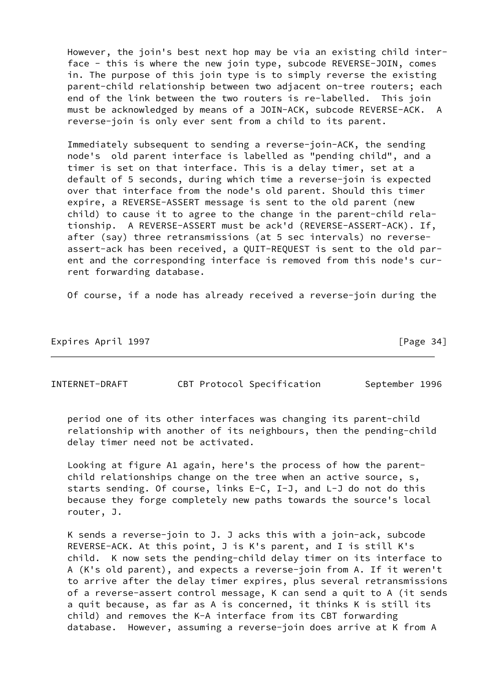However, the join's best next hop may be via an existing child inter face - this is where the new join type, subcode REVERSE-JOIN, comes in. The purpose of this join type is to simply reverse the existing parent-child relationship between two adjacent on-tree routers; each end of the link between the two routers is re-labelled. This join must be acknowledged by means of a JOIN-ACK, subcode REVERSE-ACK. A reverse-join is only ever sent from a child to its parent.

 Immediately subsequent to sending a reverse-join-ACK, the sending node's old parent interface is labelled as "pending child", and a timer is set on that interface. This is a delay timer, set at a default of 5 seconds, during which time a reverse-join is expected over that interface from the node's old parent. Should this timer expire, a REVERSE-ASSERT message is sent to the old parent (new child) to cause it to agree to the change in the parent-child rela tionship. A REVERSE-ASSERT must be ack'd (REVERSE-ASSERT-ACK). If, after (say) three retransmissions (at 5 sec intervals) no reverse assert-ack has been received, a QUIT-REQUEST is sent to the old par ent and the corresponding interface is removed from this node's cur rent forwarding database.

Of course, if a node has already received a reverse-join during the

Expires April 1997 **Expires** April 1997

INTERNET-DRAFT CBT Protocol Specification September 1996

 period one of its other interfaces was changing its parent-child relationship with another of its neighbours, then the pending-child delay timer need not be activated.

 Looking at figure A1 again, here's the process of how the parent child relationships change on the tree when an active source, s, starts sending. Of course, links E-C, I-J, and L-J do not do this because they forge completely new paths towards the source's local router, J.

 K sends a reverse-join to J. J acks this with a join-ack, subcode REVERSE-ACK. At this point, J is K's parent, and I is still K's child. K now sets the pending-child delay timer on its interface to A (K's old parent), and expects a reverse-join from A. If it weren't to arrive after the delay timer expires, plus several retransmissions of a reverse-assert control message, K can send a quit to A (it sends a quit because, as far as A is concerned, it thinks K is still its child) and removes the K-A interface from its CBT forwarding database. However, assuming a reverse-join does arrive at K from A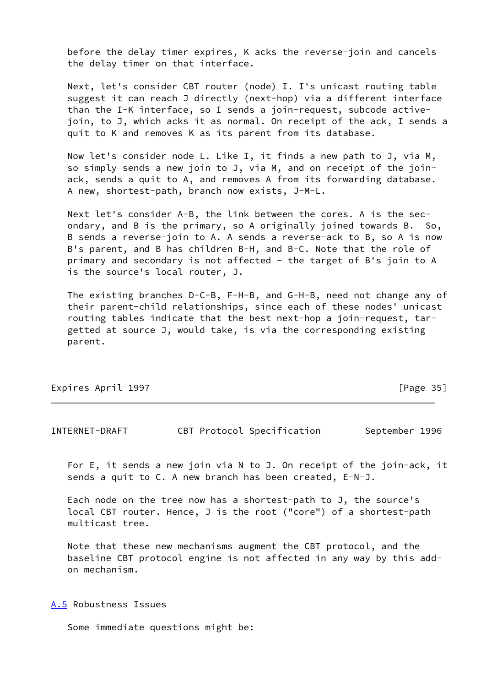before the delay timer expires, K acks the reverse-join and cancels the delay timer on that interface.

 Next, let's consider CBT router (node) I. I's unicast routing table suggest it can reach J directly (next-hop) via a different interface than the I-K interface, so I sends a join-request, subcode active join, to J, which acks it as normal. On receipt of the ack, I sends a quit to K and removes K as its parent from its database.

 Now let's consider node L. Like I, it finds a new path to J, via M, so simply sends a new join to J, via M, and on receipt of the join ack, sends a quit to A, and removes A from its forwarding database. A new, shortest-path, branch now exists, J-M-L.

 Next let's consider A-B, the link between the cores. A is the sec ondary, and B is the primary, so A originally joined towards B. So, B sends a reverse-join to A. A sends a reverse-ack to B, so A is now B's parent, and B has children B-H, and B-C. Note that the role of primary and secondary is not affected - the target of B's join to A is the source's local router, J.

 The existing branches D-C-B, F-H-B, and G-H-B, need not change any of their parent-child relationships, since each of these nodes' unicast routing tables indicate that the best next-hop a join-request, tar getted at source J, would take, is via the corresponding existing parent.

| Expires April 1997 |  |
|--------------------|--|
|                    |  |

 $[Page 35]$ 

INTERNET-DRAFT CBT Protocol Specification September 1996

 For E, it sends a new join via N to J. On receipt of the join-ack, it sends a quit to C. A new branch has been created, E-N-J.

 Each node on the tree now has a shortest-path to J, the source's local CBT router. Hence, J is the root ("core") of a shortest-path multicast tree.

 Note that these new mechanisms augment the CBT protocol, and the baseline CBT protocol engine is not affected in any way by this add on mechanism.

<span id="page-37-0"></span>[A.5](#page-37-0) Robustness Issues

Some immediate questions might be: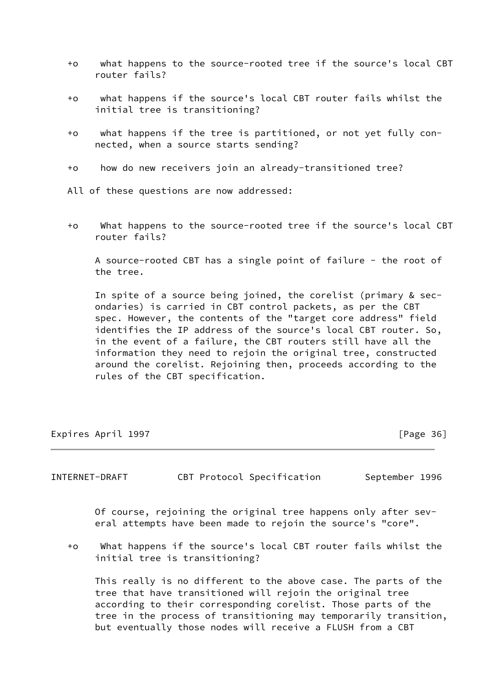- +o what happens to the source-rooted tree if the source's local CBT router fails?
- +o what happens if the source's local CBT router fails whilst the initial tree is transitioning?
- +o what happens if the tree is partitioned, or not yet fully con nected, when a source starts sending?
- +o how do new receivers join an already-transitioned tree?
- All of these questions are now addressed:
- +o What happens to the source-rooted tree if the source's local CBT router fails?

 A source-rooted CBT has a single point of failure - the root of the tree.

 In spite of a source being joined, the corelist (primary & sec ondaries) is carried in CBT control packets, as per the CBT spec. However, the contents of the "target core address" field identifies the IP address of the source's local CBT router. So, in the event of a failure, the CBT routers still have all the information they need to rejoin the original tree, constructed around the corelist. Rejoining then, proceeds according to the rules of the CBT specification.

Expires April 1997 **Expires** April 1997

INTERNET-DRAFT CBT Protocol Specification September 1996

 Of course, rejoining the original tree happens only after sev eral attempts have been made to rejoin the source's "core".

 +o What happens if the source's local CBT router fails whilst the initial tree is transitioning?

 This really is no different to the above case. The parts of the tree that have transitioned will rejoin the original tree according to their corresponding corelist. Those parts of the tree in the process of transitioning may temporarily transition, but eventually those nodes will receive a FLUSH from a CBT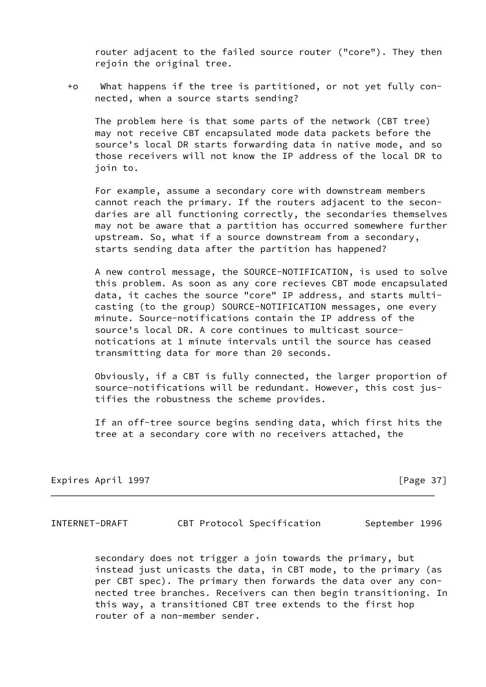router adjacent to the failed source router ("core"). They then rejoin the original tree.

 +o What happens if the tree is partitioned, or not yet fully con nected, when a source starts sending?

 The problem here is that some parts of the network (CBT tree) may not receive CBT encapsulated mode data packets before the source's local DR starts forwarding data in native mode, and so those receivers will not know the IP address of the local DR to join to.

 For example, assume a secondary core with downstream members cannot reach the primary. If the routers adjacent to the secon daries are all functioning correctly, the secondaries themselves may not be aware that a partition has occurred somewhere further upstream. So, what if a source downstream from a secondary, starts sending data after the partition has happened?

 A new control message, the SOURCE-NOTIFICATION, is used to solve this problem. As soon as any core recieves CBT mode encapsulated data, it caches the source "core" IP address, and starts multi casting (to the group) SOURCE-NOTIFICATION messages, one every minute. Source-notifications contain the IP address of the source's local DR. A core continues to multicast source notications at 1 minute intervals until the source has ceased transmitting data for more than 20 seconds.

 Obviously, if a CBT is fully connected, the larger proportion of source-notifications will be redundant. However, this cost jus tifies the robustness the scheme provides.

 If an off-tree source begins sending data, which first hits the tree at a secondary core with no receivers attached, the

Expires April 1997 **Expires** April 1997

INTERNET-DRAFT CBT Protocol Specification September 1996

 secondary does not trigger a join towards the primary, but instead just unicasts the data, in CBT mode, to the primary (as per CBT spec). The primary then forwards the data over any con nected tree branches. Receivers can then begin transitioning. In this way, a transitioned CBT tree extends to the first hop router of a non-member sender.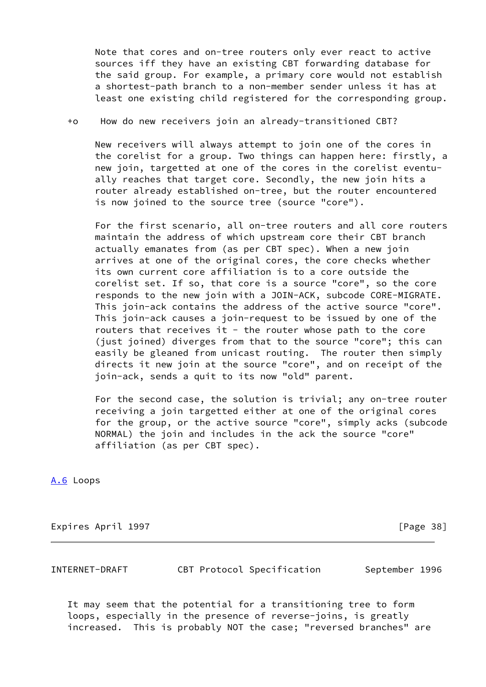Note that cores and on-tree routers only ever react to active sources iff they have an existing CBT forwarding database for the said group. For example, a primary core would not establish a shortest-path branch to a non-member sender unless it has at least one existing child registered for the corresponding group.

# +o How do new receivers join an already-transitioned CBT?

 New receivers will always attempt to join one of the cores in the corelist for a group. Two things can happen here: firstly, a new join, targetted at one of the cores in the corelist eventu ally reaches that target core. Secondly, the new join hits a router already established on-tree, but the router encountered is now joined to the source tree (source "core").

 For the first scenario, all on-tree routers and all core routers maintain the address of which upstream core their CBT branch actually emanates from (as per CBT spec). When a new join arrives at one of the original cores, the core checks whether its own current core affiliation is to a core outside the corelist set. If so, that core is a source "core", so the core responds to the new join with a JOIN-ACK, subcode CORE-MIGRATE. This join-ack contains the address of the active source "core". This join-ack causes a join-request to be issued by one of the routers that receives it - the router whose path to the core (just joined) diverges from that to the source "core"; this can easily be gleaned from unicast routing. The router then simply directs it new join at the source "core", and on receipt of the join-ack, sends a quit to its now "old" parent.

 For the second case, the solution is trivial; any on-tree router receiving a join targetted either at one of the original cores for the group, or the active source "core", simply acks (subcode NORMAL) the join and includes in the ack the source "core" affiliation (as per CBT spec).

<span id="page-40-0"></span>[A.6](#page-40-0) Loops

Expires April 1997 **Expires April 1997** 

INTERNET-DRAFT CBT Protocol Specification September 1996

 It may seem that the potential for a transitioning tree to form loops, especially in the presence of reverse-joins, is greatly increased. This is probably NOT the case; "reversed branches" are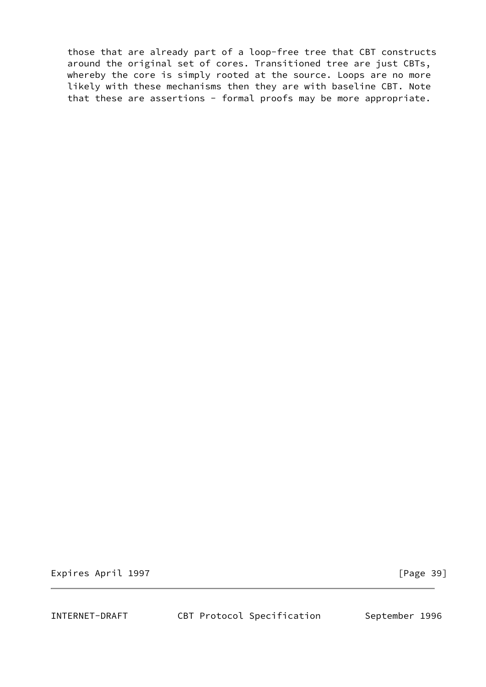those that are already part of a loop-free tree that CBT constructs around the original set of cores. Transitioned tree are just CBTs, whereby the core is simply rooted at the source. Loops are no more likely with these mechanisms then they are with baseline CBT. Note that these are assertions - formal proofs may be more appropriate.

Expires April 1997 **Expires** April 1997

INTERNET-DRAFT CBT Protocol Specification September 1996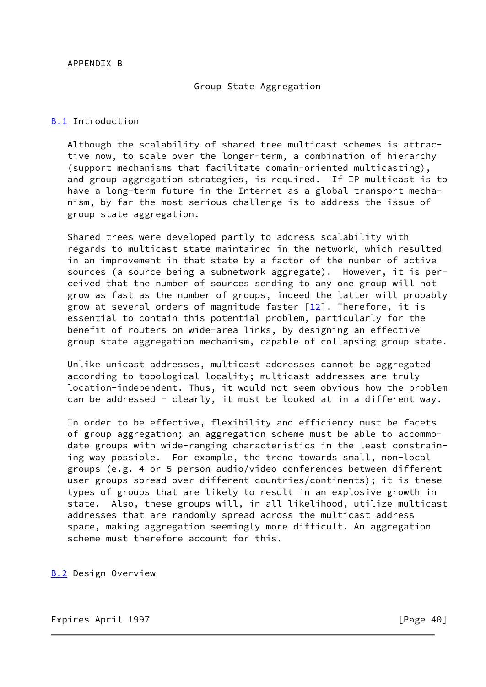# APPENDIX B

# Group State Aggregation

# <span id="page-42-0"></span>[B.1](#page-42-0) Introduction

 Although the scalability of shared tree multicast schemes is attrac tive now, to scale over the longer-term, a combination of hierarchy (support mechanisms that facilitate domain-oriented multicasting), and group aggregation strategies, is required. If IP multicast is to have a long-term future in the Internet as a global transport mecha nism, by far the most serious challenge is to address the issue of group state aggregation.

 Shared trees were developed partly to address scalability with regards to multicast state maintained in the network, which resulted in an improvement in that state by a factor of the number of active sources (a source being a subnetwork aggregate). However, it is per ceived that the number of sources sending to any one group will not grow as fast as the number of groups, indeed the latter will probably grow at several orders of magnitude faster [[12\]](#page-46-3). Therefore, it is essential to contain this potential problem, particularly for the benefit of routers on wide-area links, by designing an effective group state aggregation mechanism, capable of collapsing group state.

 Unlike unicast addresses, multicast addresses cannot be aggregated according to topological locality; multicast addresses are truly location-independent. Thus, it would not seem obvious how the problem can be addressed - clearly, it must be looked at in a different way.

 In order to be effective, flexibility and efficiency must be facets of group aggregation; an aggregation scheme must be able to accommo date groups with wide-ranging characteristics in the least constrain ing way possible. For example, the trend towards small, non-local groups (e.g. 4 or 5 person audio/video conferences between different user groups spread over different countries/continents); it is these types of groups that are likely to result in an explosive growth in state. Also, these groups will, in all likelihood, utilize multicast addresses that are randomly spread across the multicast address space, making aggregation seemingly more difficult. An aggregation scheme must therefore account for this.

<span id="page-42-1"></span>[B.2](#page-42-1) Design Overview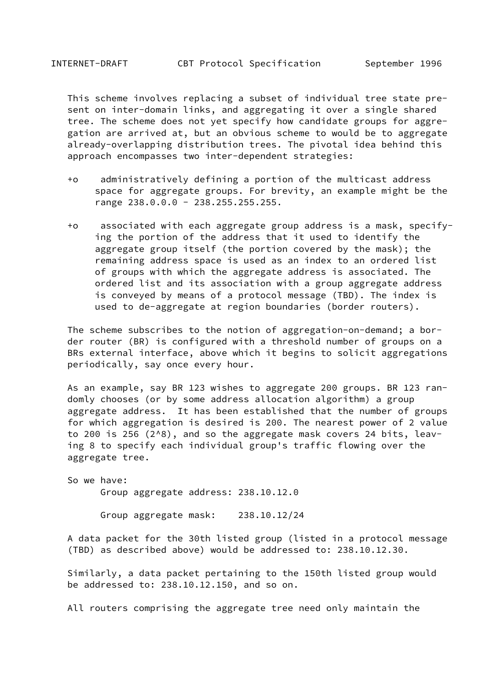This scheme involves replacing a subset of individual tree state pre sent on inter-domain links, and aggregating it over a single shared tree. The scheme does not yet specify how candidate groups for aggre gation are arrived at, but an obvious scheme to would be to aggregate already-overlapping distribution trees. The pivotal idea behind this approach encompasses two inter-dependent strategies:

- +o administratively defining a portion of the multicast address space for aggregate groups. For brevity, an example might be the range 238.0.0.0 - 238.255.255.255.
- +o associated with each aggregate group address is a mask, specify ing the portion of the address that it used to identify the aggregate group itself (the portion covered by the mask); the remaining address space is used as an index to an ordered list of groups with which the aggregate address is associated. The ordered list and its association with a group aggregate address is conveyed by means of a protocol message (TBD). The index is used to de-aggregate at region boundaries (border routers).

 The scheme subscribes to the notion of aggregation-on-demand; a bor der router (BR) is configured with a threshold number of groups on a BRs external interface, above which it begins to solicit aggregations periodically, say once every hour.

 As an example, say BR 123 wishes to aggregate 200 groups. BR 123 ran domly chooses (or by some address allocation algorithm) a group aggregate address. It has been established that the number of groups for which aggregation is desired is 200. The nearest power of 2 value to 200 is 256 (2^8), and so the aggregate mask covers 24 bits, leav ing 8 to specify each individual group's traffic flowing over the aggregate tree.

 So we have: Group aggregate address: 238.10.12.0

Group aggregate mask: 238.10.12/24

 A data packet for the 30th listed group (listed in a protocol message (TBD) as described above) would be addressed to: 238.10.12.30.

 Similarly, a data packet pertaining to the 150th listed group would be addressed to: 238.10.12.150, and so on.

All routers comprising the aggregate tree need only maintain the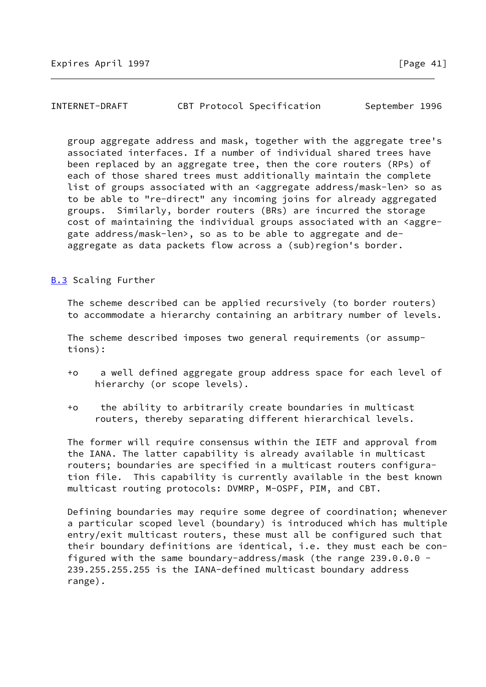# INTERNET-DRAFT CBT Protocol Specification September 1996

 group aggregate address and mask, together with the aggregate tree's associated interfaces. If a number of individual shared trees have been replaced by an aggregate tree, then the core routers (RPs) of each of those shared trees must additionally maintain the complete list of groups associated with an <aggregate address/mask-len> so as to be able to "re-direct" any incoming joins for already aggregated groups. Similarly, border routers (BRs) are incurred the storage cost of maintaining the individual groups associated with an <aggre gate address/mask-len>, so as to be able to aggregate and de aggregate as data packets flow across a (sub)region's border.

# <span id="page-44-0"></span>[B.3](#page-44-0) Scaling Further

 The scheme described can be applied recursively (to border routers) to accommodate a hierarchy containing an arbitrary number of levels.

 The scheme described imposes two general requirements (or assump tions):

- +o a well defined aggregate group address space for each level of hierarchy (or scope levels).
- +o the ability to arbitrarily create boundaries in multicast routers, thereby separating different hierarchical levels.

 The former will require consensus within the IETF and approval from the IANA. The latter capability is already available in multicast routers; boundaries are specified in a multicast routers configura tion file. This capability is currently available in the best known multicast routing protocols: DVMRP, M-OSPF, PIM, and CBT.

 Defining boundaries may require some degree of coordination; whenever a particular scoped level (boundary) is introduced which has multiple entry/exit multicast routers, these must all be configured such that their boundary definitions are identical, i.e. they must each be con figured with the same boundary-address/mask (the range 239.0.0.0 - 239.255.255.255 is the IANA-defined multicast boundary address range).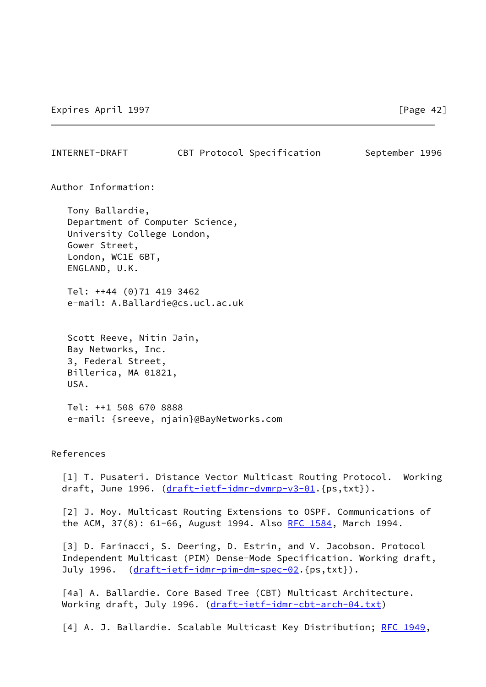INTERNET-DRAFT CBT Protocol Specification September 1996

Author Information:

 Tony Ballardie, Department of Computer Science, University College London, Gower Street, London, WC1E 6BT, ENGLAND, U.K.

 Tel: ++44 (0)71 419 3462 e-mail: A.Ballardie@cs.ucl.ac.uk

 Scott Reeve, Nitin Jain, Bay Networks, Inc. 3, Federal Street, Billerica, MA 01821, USA.

 Tel: ++1 508 670 8888 e-mail: {sreeve, njain}@BayNetworks.com

References

<span id="page-45-0"></span> [1] T. Pusateri. Distance Vector Multicast Routing Protocol. Working draft, June 1996. [\(draft-ietf-idmr-dvmrp-v3-01](https://datatracker.ietf.org/doc/pdf/draft-ietf-idmr-dvmrp-v3-01). {ps,txt}).

<span id="page-45-1"></span> [2] J. Moy. Multicast Routing Extensions to OSPF. Communications of the ACM, 37(8): 61-66, August 1994. Also [RFC 1584](https://datatracker.ietf.org/doc/pdf/rfc1584), March 1994.

<span id="page-45-2"></span> [3] D. Farinacci, S. Deering, D. Estrin, and V. Jacobson. Protocol Independent Multicast (PIM) Dense-Mode Specification. Working draft, July 1996. ([draft-ietf-idmr-pim-dm-spec-02](https://datatracker.ietf.org/doc/pdf/draft-ietf-idmr-pim-dm-spec-02).{ps,txt}).

<span id="page-45-3"></span> [4a] A. Ballardie. Core Based Tree (CBT) Multicast Architecture. Working draft, July 1996. [\(draft-ietf-idmr-cbt-arch-04.txt](https://datatracker.ietf.org/doc/pdf/draft-ietf-idmr-cbt-arch-04.txt))

<span id="page-45-4"></span>[4] A. J. Ballardie. Scalable Multicast Key Distribution; [RFC 1949](https://datatracker.ietf.org/doc/pdf/rfc1949),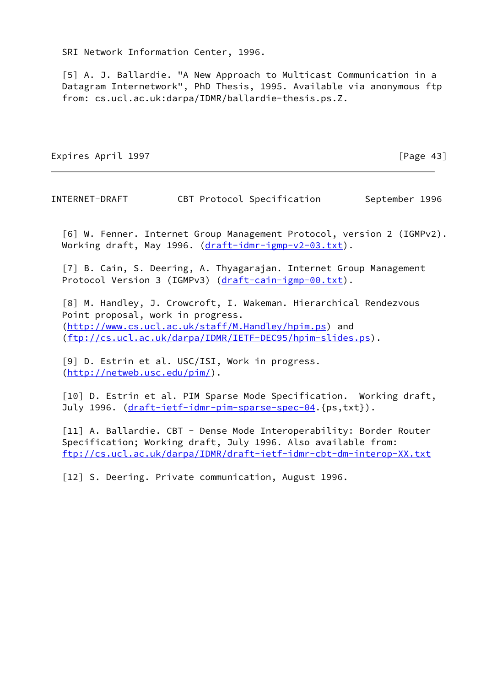SRI Network Information Center, 1996.

<span id="page-46-0"></span> [5] A. J. Ballardie. "A New Approach to Multicast Communication in a Datagram Internetwork", PhD Thesis, 1995. Available via anonymous ftp from: cs.ucl.ac.uk:darpa/IDMR/ballardie-thesis.ps.Z.

Expires April 1997 **Expires** April 1997

INTERNET-DRAFT CBT Protocol Specification September 1996

<span id="page-46-1"></span> [6] W. Fenner. Internet Group Management Protocol, version 2 (IGMPv2). Working draft, May 1996. [\(draft-idmr-igmp-v2-03.txt](https://datatracker.ietf.org/doc/pdf/draft-idmr-igmp-v2-03.txt)).

 [7] B. Cain, S. Deering, A. Thyagarajan. Internet Group Management Protocol Version 3 (IGMPv3) ([draft-cain-igmp-00.txt](https://datatracker.ietf.org/doc/pdf/draft-cain-igmp-00.txt)).

 [8] M. Handley, J. Crowcroft, I. Wakeman. Hierarchical Rendezvous Point proposal, work in progress. [\(http://www.cs.ucl.ac.uk/staff/M.Handley/hpim.ps](http://www.cs.ucl.ac.uk/staff/M.Handley/hpim.ps)) and [\(ftp://cs.ucl.ac.uk/darpa/IDMR/IETF-DEC95/hpim-slides.ps](ftp://cs.ucl.ac.uk/darpa/IDMR/IETF-DEC95/hpim-slides.ps)).

 [9] D. Estrin et al. USC/ISI, Work in progress. [\(http://netweb.usc.edu/pim/](http://netweb.usc.edu/pim/)).

 [10] D. Estrin et al. PIM Sparse Mode Specification. Working draft, July 1996. ([draft-ietf-idmr-pim-sparse-spec-04.](https://datatracker.ietf.org/doc/pdf/draft-ietf-idmr-pim-sparse-spec-04){ps,txt}).

<span id="page-46-2"></span>[11] A. Ballardie. CBT - Dense Mode Interoperability: Border Router Specification; Working draft, July 1996. Also available from: <ftp://cs.ucl.ac.uk/darpa/IDMR/draft-ietf-idmr-cbt-dm-interop-XX.txt>

<span id="page-46-3"></span>[12] S. Deering. Private communication, August 1996.